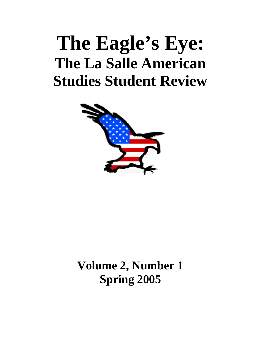# **The Eagle's Eye: The La Salle American Studies Student Review**



**Volume 2, Number 1 Spring 2005**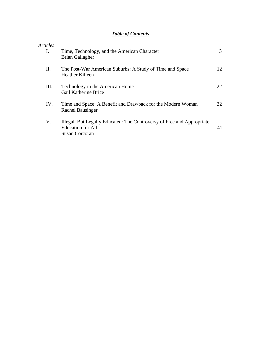# *Table of Contents*

| Articles |                                                                                                                             |    |
|----------|-----------------------------------------------------------------------------------------------------------------------------|----|
| Ι.       | Time, Technology, and the American Character<br><b>Brian Gallagher</b>                                                      | 3  |
| П.       | The Post-War American Suburbs: A Study of Time and Space<br>Heather Killeen                                                 | 12 |
| Ш.       | Technology in the American Home<br><b>Gail Katherine Brice</b>                                                              | 22 |
| IV.      | Time and Space: A Benefit and Drawback for the Modern Woman<br><b>Rachel Bausinger</b>                                      | 32 |
| V.       | Illegal, But Legally Educated: The Controversy of Free and Appropriate<br><b>Education for All</b><br><b>Susan Corcoran</b> | 41 |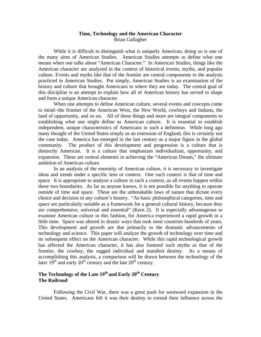## **Time, Technology and the American Character**  Brian Gallagher

While it is difficult to distinguish what is uniquely American, doing so is one of the many aims of American Studies. American Studies attempts to define what one means when one talks about "American Character." In American Studies, things like the American character are analyzed in the context of historical events, myths, and popular culture. Events and myths like that of the frontier are central components to the analysis practiced in American Studies. Put simply, American Studies is an examination of the history and culture that brought Americans to where they are today. The central goal of this discipline is an attempt to explain how all of American history has served to shape and form a unique American character.

 When one attempts to define American culture, several events and concepts come to mind--the frontier of the American West, the New World, cowboys and Indians, the land of opportunity, and so on. All of these things and more are integral components to establishing what one might define as American culture. It is essential to establish independent, unique characteristics of Americans in such a definition. While long ago many thought of the United States simply as an extension of England, this is certainly not the case today. America has emerged in the last century as a major figure in the global community. The product of this development and progression is a culture that is distinctly American. It is a culture that emphasizes individualism, opportunity, and expansion. These are central elements in achieving the "American Dream," the ultimate ambition of American culture.

 In an analysis of the enormity of American culture, it is necessary to investigate ideas and trends under a specific lens or context. One such context is that of time and space. It is appropriate to analyze a culture in such a context, as all events happen within these two boundaries. As far as anyone knows, it is not possible for anything to operate outside of time and space. These are the unbreakable laws of nature that dictate every choice and decision in any culture's history. "As basic philosophical categories, time and space are particularly suitable as a framework for a general cultural history, because they are comprehensive, universal and essential" (Kern 2). It is especially advantageous to examine American culture in this fashion, for America experienced a rapid growth in a little time. Space was altered in drastic ways that took most countries hundreds of years. This development and growth are due primarily to the dramatic advancements of technology and science. This paper will analyze the growth of technology over time and its subsequent effect on the American character. While this rapid technological growth has affected the American character, it has also fostered such myths as that of the frontier, the cowboy, the rugged individual and manifest destiny. As a means of accomplishing this analysis, a comparison will be drawn between the technology of the later  $19<sup>th</sup>$  and early  $20<sup>th</sup>$  century and the late  $20<sup>th</sup>$  century.

# The Technology of the Late 19<sup>th</sup> and Early 20<sup>th</sup> Century **The Railroad**

 Following the Civil War, there was a great push for westward expansion in the United States. Americans felt it was their destiny to extend their influence across the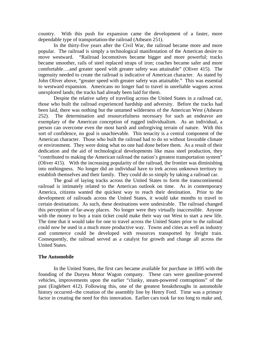country. With this push for expansion came the development of a faster, more dependable type of transportation-the railroad (Athearn 251).

 In the thirty-five years after the Civil War, the railroad became more and more popular. The railroad is simply a technological manifestation of the American desire to move westward. "Railroad locomotives became bigger and more powerful; tracks became smoother, rails of steel replaced straps of iron; coaches became safer and more comfortable….and greater speed with greater safety was attainable" (Oliver 415). The ingenuity needed to create the railroad is indicative of American character. As stated by John Oliver above, "greater speed with greater safety was attainable." This was essential to westward expansion. Americans no longer had to travel in unreliable wagons across unexplored lands; the tracks had already been laid for them.

 Despite the relative safety of traveling across the United States in a railroad car, those who built the railroad experienced hardship and adversity. Before the tracks had been laid, there was nothing but the untamed wilderness of the American West (Athearn 252). The determination and resourcefulness necessary for such an endeavor are exemplary of the American conception of rugged individualism. As an individual, a person can overcome even the most harsh and unforgiving terrain of nature. With this sort of confidence, no goal is unachievable. This tenacity is a central component of the American character. Those who built the railroad had to do so without favorable climate or environment. They were doing what no one had done before them. As a result of their dedication and the aid of technological developments like mass steel production, they "contributed to making the American railroad the nation's greatest transportation system" (Oliver 415). With the increasing popularity of the railroad, the frontier was diminishing into nothingness. No longer did an individual have to trek across unknown territory to establish themselves and their family. They could do so simply by taking a railroad car.

 The goal of laying tracks across the United States to form the transcontinental railroad is intimately related to the American outlook on time. As in contemporary America, citizens wanted the quickest way to reach their destination. Prior to the development of railroads across the United States, it would take months to travel to certain destinations. As such, these destinations were undesirable. The railroad changed this perception of far-away places. No longer were they virtually inaccessible. Anyone with the money to buy a train ticket could make their way out West to start a new life. The time that it would take for one to travel across the United States prior to the railroad could now be used in a much more productive way. Towns and cities as well as industry and commerce could be developed with resources transported by freight train. Consequently, the railroad served as a catalyst for growth and change all across the United States.

#### **The Automobile**

 In the United States, the first cars became available for purchase in 1895 with the founding of the Duryea Motor Wagon company. These cars were gasoline-powered vehicles, improvements upon the earlier "clunky, steam-powered contraptions" of the past (Englebert 412). Following this, one of the greatest breakthroughs in automobile history occurred--the creation of the assembly line by Henry Ford. Time was a primary factor in creating the need for this innovation. Earlier cars took far too long to make and,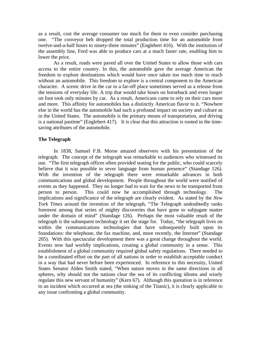as a result, cost the average consumer too much for them to even consider purchasing one. "The conveyor belt dropped the total production time for an automobile from twelve-and-a-half hours to ninety-three minutes" (Englebert 416). With the institution of the assembly line, Ford was able to produce cars at a much faster rate, enabling him to lower the price.

 As a result, roads were paved all over the United States to allow those with cars access to the entire country. In this, the automobile gave the average American the freedom to explore destinations which would have once taken too much time to reach without an automobile. This freedom to explore is a central component to the American character. A scenic drive in the car to a far-off place sometimes served as a release from the tensions of everyday life. A trip that would take hours on horseback and even longer on foot took only minutes by car. As a result, Americans came to rely on their cars more and more. This affinity for automobiles has a distinctly American flavor to it. "Nowhere else in the world has the automobile had such a profound impact on society and culture as in the United States. The automobile is the primary means of transportation, and driving is a national pastime" (Englebert 417). It is clear that this attraction is rooted in the timesaving attributes of the automobile.

#### **The Telegraph**

In 1838, Samuel F.B. Morse amazed observers with his presentation of the telegraph. The concept of the telegraph was remarkable to audiences who witnessed its use. "The first telegraph offices often provided seating for the public, who could scarcely believe that it was possible to sever language from human presence" (Standage 126). With the invention of the telegraph there were remarkable advances in both communications and global development. People throughout the world were notified of events as they happened. They no longer had to wait for the news to be transported from person to person. This could now be accomplished through technology. The implications and significance of the telegraph are clearly evident. As stated by the *New York Times* around the invention of the telegraph, "The Telegraph undoubtedly ranks foremost among that series of mighty discoveries that have gone to subjugate matter under the domain of mind" (Standage 126). Perhaps the most valuable result of the telegraph is the subsequent technology it set the stage for. Today, "the telegraph lives on within the communications technologies that have subsequently built upon its foundations: the telephone, the fax machine, and, more recently, the Internet" (Standage 205). With this spectacular development there was a great change throughout the world. Events now had worldly implications, creating a global community in a sense. This establishment of a global community required global safety regulations. There needed to be a coordinated effort on the part of all nations in order to establish acceptable conduct in a way that had never before been experienced. In reference to this necessity, United States Senator Alden Smith stated, "When nature moves in the same directions in all spheres, why should not the nations clear the sea of its conflicting idioms and wisely regulate this new servant of humanity" (Kern 67). Although this quotation is in reference to an incident which occurred at sea (the sinking of the Titanic), it is clearly applicable to any issue confronting a global community.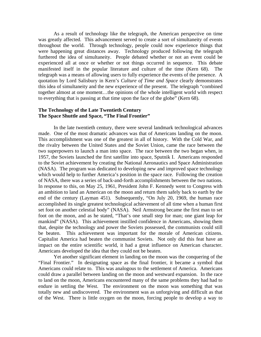As a result of technology like the telegraph, the American perspective on time was greatly affected. This advancement served to create a sort of simultaneity of events throughout the world. Through technology, people could now experience things that were happening great distances away. Technology produced following the telegraph furthered the idea of simultaneity. People debated whether or not an event could be experienced all at once or whether or not things occurred in sequence. This debate manifested itself in the popular literature and culture of the time (Kern 68). The telegraph was a means of allowing users to fully experience the events of the presence. A quotation by Lord Salisbury in Kern's *Culture of Time and Space* clearly demonstrates this idea of simultaneity and the new experience of the present. The telegraph "combined together almost at one moment…the opinions of the whole intelligent world with respect to everything that is passing at that time upon the face of the globe" (Kern 68).

## **The Technology of the Late Twentieth Century The Space Shuttle and Space, "The Final Frontier"**

 In the late twentieth century, there were several landmark technological advances made. One of the most dramatic advances was that of Americans landing on the moon. This accomplishment was one of the greatest in all of history. With the Cold War, and the rivalry between the United States and the Soviet Union, came the race between the two superpowers to launch a man into space. The race between the two began when, in 1957, the Soviets launched the first satellite into space, Sputnik I. Americans responded to the Soviet achievement by creating the National Aeronautics and Space Administration (NASA). The program was dedicated to developing new and improved space technology which would help to further America's position in the space race. Following the creation of NASA, there was a series of back-and-forth accomplishments between the two nations. In response to this, on May 25, 1961, President John F. Kennedy went to Congress with an ambition to land an American on the moon and return them safely back to earth by the end of the century (Layman 451). Subsequently, "On July 20, 1969, the human race accomplished its single greatest technological achievement of all time when a human first set foot on another celestial body" (NASA). Neil Armstrong became the first man to set foot on the moon, and as he stated, "That's one small step for man; one giant leap for mankind" (NASA). This achievement instilled confidence in Americans, showing them that, despite the technology and power the Soviets possessed, the communists could still be beaten. This achievement was important for the morale of American citizens. Capitalist America had beaten the communist Soviets. Not only did this feat have an impact on the entire scientific world, it had a great influence on American character. Americans developed the idea that they could not be beaten.

 Yet another significant element in landing on the moon was the conquering of the "Final Frontier." In designating space as the final frontier, it became a symbol that Americans could relate to. This was analogous to the settlement of America. Americans could draw a parallel between landing on the moon and westward expansion. In the race to land on the moon, Americans encountered many of the same problems they had had to endure in settling the West. The environment on the moon was something that was totally new and undiscovered. The environment was as unforgiving and difficult as that of the West. There is little oxygen on the moon, forcing people to develop a way to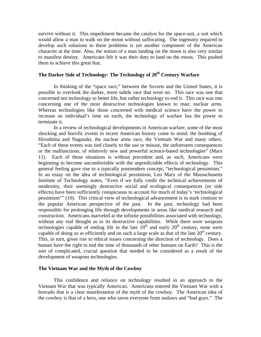survive without it. This impediment became the catalyst for the space-suit, a suit which would allow a man to walk on the moon without suffocating. The ingenuity required to develop such solutions to these problems is yet another component of the American character at the time. Also, the notion of a man landing on the moon is also very similar to manifest destiny. Americans felt it was their duty to land on the moon. This pushed them to achieve this great feat.

# The Darker Side of Technology: The Technology of 20<sup>th</sup> Century Warfare

 In thinking of the "space race," between the Soviets and the United States, it is possible to overlook the darker, more subtle race that went on. This race was one that concerned not technology to better life, but rather technology to end it. This race was one concerning one of the most destructive technologies known to man: nuclear arms. Whereas technologies like those concerned with medical science have the power to increase an individual's time on earth, the technology of warfare has the power to terminate it.

 In a review of technological developments in American warfare, some of the most shocking and horrific events in recent American history come to mind: the bombing of Hiroshima and Nagasaki, the nuclear arms race, the Vietnam War and many others. "Each of these events was tied closely to the use or misuse, the unforeseen consequences or the malfunctions, of relatively new and powerful science-based technologies" (Marx 11). Each of these situations is without precedent and, as such, Americans were beginning to become uncomfortable with the unpredictable effects of technology. This general feeling gave rise to a typically postmodern concept, "technological pessimism." In an essay on the idea of technological pessimism, Leo Marx of the Massachusetts Institute of Technology states, "Even if we fully credit the technical achievements of modernity, their seemingly destructive social and ecological consequences (or side effects) have been sufficiently conspicuous to account for much of today's 'technological pessimism'" (10). This critical view of technological advancement is in stark contrast to the popular American perspective of the past. In the past, technology had been responsible for prolonging life through developments in areas like medical research and construction. Americans marveled at the infinite possibilities associated with technology, without any real thought as to its destructive capabilities. While there were weapons technologies capable of ending life in the late  $19<sup>th</sup>$  and early  $20<sup>th</sup>$  century, none were capable of doing so as efficiently and on such a large scale as that of the late  $20<sup>th</sup>$  century. This, in turn, gives rise to ethical issues concerning the direction of technology. Does a human have the right to end the time of thousands of other humans on Earth? This is the sort of complicated, crucial question that needed to be considered as a result of the development of weapons technologies.

#### **The Vietnam War and the Myth of the Cowboy**

 This confidence and reliance on technology resulted in an approach to the Vietnam War that was typically American. Americans entered the Vietnam War with a bravado that is a clear manifestation of the myth of the cowboy. The American idea of the cowboy is that of a hero, one who saves everyone from outlaws and "bad guys." The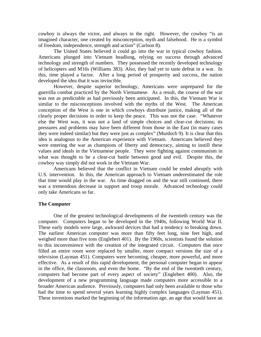cowboy is always the victor, and always in the right. However, the cowboy "is an imagined character, one created by misconception, myth and falsehood. He is a symbol of freedom, independence, strength and action" (Carlson 8).

 The United States believed it could go into the war in typical cowboy fashion. Americans plunged into Vietnam headlong, relying on success through advanced technology and strength of numbers. They possessed the recently developed technology of helicopters and M16s (Williams 383). Also, they had yet to taste defeat in a war. In this, time played a factor. After a long period of prosperity and success, the nation developed the idea that it was invincible.

 However, despite superior technology, Americans were unprepared for the guerrilla combat practiced by the North Vietnamese. As a result, the course of the war was not as predictable as had previously been anticipated. In this, the Vietnam War is similar to the misconceptions involved with the myths of the West. The American conception of the West is one in which cowboys distribute justice, making all of the clearly proper decisions in order to keep the peace. This was not the case. "Whatever else the West was, it was not a land of simple choices and clear-cut decisions; its pressures and problems may have been different from those in the East (in many cases they were indeed similar) but they were just as complex" (Murdoch 9). It is clear that this idea is analogous to the American experience with Vietnam. Americans believed they were entering the war as champions of liberty and democracy, aiming to instill these values and ideals in the Vietnamese people. They were fighting against communism in what was thought to be a clear-cut battle between good and evil. Despite this, the cowboy way simply did not work in the Vietnam War.

 Americans believed that the conflict in Vietnam could be ended abruptly with U.S. intervention. In this, the American approach to Vietnam underestimated the role that time would play in the war. As time dragged on and the war still continued, there was a tremendous decrease in support and troop morale. Advanced technology could only take Americans so far.

#### **The Computer**

 One of the greatest technological developments of the twentieth century was the computer. Computers began to be developed in the 1940s, following World War II. These early models were large, awkward devices that had a tendency to breaking down. The earliest American computer was more than fifty feet long, nine feet high, and weighed more than five tons (Englebert 401). By the 1960s, scientists found the solution to this inconvenience with the creation of the integrated circuit. Computers that once filled an entire room were replaced by smaller, more compact versions the size of a television (Layman 451). Computers were becoming, cheaper, more powerful, and more effective. As a result of this rapid development, the personal computer began to appear in the office, the classroom, and even the home. "By the end of the twentieth century, computers had become part of every aspect of society" (Englebert 400). Also, the development of a new programming language made computers more accessible to a broader American audience. Previously, computers had only been available to those who had the time to spend several years learning highly complex languages (Layman 451). These inventions marked the beginning of the information age, an age that would have an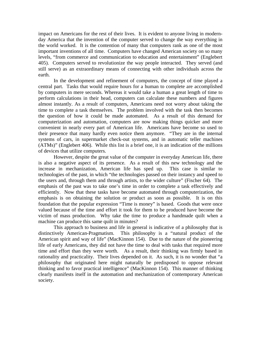impact on Americans for the rest of their lives. It is evident to anyone living in modernday America that the invention of the computer served to change the way everything in the world worked. It is the contention of many that computers rank as one of the most important inventions of all time. Computers have changed American society on so many levels, "from commerce and communication to education and entertainment" (Englebert 405). Computers served to revolutionize the way people interacted. They served (and still serve) as an extraordinary means of connecting with other individuals across the earth.

 In the development and refinement of computers, the concept of time played a central part. Tasks that would require hours for a human to complete are accomplished by computers in mere seconds. Whereas it would take a human a great length of time to perform calculations in their head, computers can calculate these numbers and figures almost instantly. As a result of computers, Americans need not worry about taking the time to complete a task themselves. The problem involved with the task then becomes the question of how it could be made automated. As a result of this demand for computerization and automation, computers are now making things quicker and more convenient in nearly every part of American life. Americans have become so used to their presence that many hardly even notice them anymore. "They are in the internal systems of cars, in supermarket check-out systems, and in automatic teller machines (ATMs)" (Englebert 406). While this list is a brief one, it is an indication of the millions of devices that utilize computers.

 However, despite the great value of the computer in everyday American life, there is also a negative aspect of its presence. As a result of this new technology and the increase in mechanization, American life has sped up. This case is similar to technologies of the past, in which "the technologies passed on their instancy and speed to the users and, through them and through artists, to the wider culture" (Fischer 64). The emphasis of the past was to take one's time in order to complete a task effectively and efficiently. Now that these tasks have become automated through computerization, the emphasis is on obtaining the solution or product as soon as possible. It is on this foundation that the popular expression "Time is money" is based. Goods that were once valued because of the time and effort it took for them to be produced have become the victim of mass production. Why take the time to produce a handmade quilt when a machine can produce this same quilt in minutes?

 This approach to business and life in general is indicative of a philosophy that is distinctively American-Pragmatism. This philosophy is a "natural product of the American spirit and way of life" (MacKinnon 154). Due to the nature of the pioneering life of early Americans, they did not have the time to deal with tasks that required more time and effort than they were worth. As a result, their thinking was firmly based in rationality and practicality. Their lives depended on it. As such, it is no wonder that "a philosophy that originated here might naturally be predisposed to oppose relevant thinking and to favor practical intelligence" (MacKinnon 154). This manner of thinking clearly manifests itself in the automation and mechanization of contemporary American society.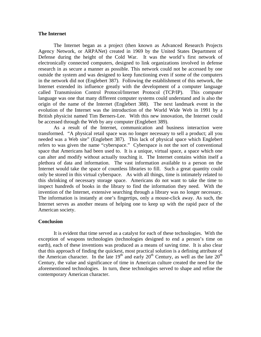#### **The Internet**

The Internet began as a project (then known as Advanced Research Projects Agency Network, or ARPANet) created in 1969 by the United States Department of Defense during the height of the Cold War. It was the world's first network of electronically connected computers, designed to link organizations involved in defense research in as secure a manner as possible. This network could not be accessed by one outside the system and was designed to keep functioning even if some of the computers in the network did not (Englebert 387). Following the establishment of this network, the Internet extended its influence greatly with the development of a computer language called Transmission Control Protocol/Internet Protocol (TCP/IP). This computer language was one that many different computer systems could understand and is also the origin of the name of the Internet (Englebert 388). The next landmark event in the evolution of the Internet was the introduction of the World Wide Web in 1991 by a British physicist named Tim Berners-Lee. With this new innovation, the Internet could be accessed through the Web by any computer (Englebert 389).

 As a result of the Internet, communication and business interaction were transformed. "A physical retail space was no longer necessary to sell a product; all you needed was a Web site" (Englebert 387). This lack of physical space which Englebert refers to was given the name "cyberspace." Cyberspace is not the sort of conventional space that Americans had been used to. It is a unique, virtual space, a space which one can alter and modify without actually touching it. The Internet contains within itself a plethora of data and information. The vast information available to a person on the Internet would take the space of countless libraries to fill. Such a great quantity could only be stored in this virtual cyberspace. As with all things, time is intimately related to this shrinking of necessary storage space. Americans do not want to take the time to inspect hundreds of books in the library to find the information they need. With the invention of the Internet, extensive searching through a library was no longer necessary. The information is instantly at one's fingertips, only a mouse-click away. As such, the Internet serves as another means of helping one to keep up with the rapid pace of the American society.

#### **Conclusion**

It is evident that time served as a catalyst for each of these technologies. With the exception of weapons technologies (technologies designed to end a person's time on earth), each of these inventions was produced as a means of saving time. It is also clear that this approach of finding the quickest, most practical solution is a defining attribute of the American character. In the late  $19<sup>th</sup>$  and early  $20<sup>th</sup>$  Century, as well as the late  $20<sup>th</sup>$ Century, the value and significance of time in American culture created the need for the aforementioned technologies. In turn, these technologies served to shape and refine the contemporary American character.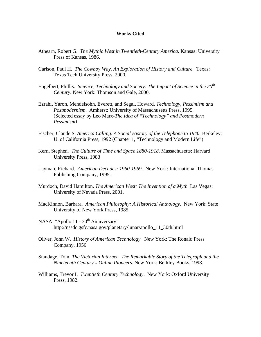#### **Works Cited**

- Athearn, Robert G. *The Mythic West in Twentieth-Century America.* Kansas: University Press of Kansas, 1986.
- Carlson, Paul H. *The Cowboy Way. An Exploration of History and Culture.* Texas: Texas Tech University Press, 2000.
- Engelbert, Phillis. *Science, Technology and Society: The Impact of Science in the 20th Century*. New York: Thomson and Gale, 2000.
- Ezrahi, Yaron, Mendelsohn, Everett, and Segal, Howard. *Technology, Pessimism and Postmodernism*. Amherst: University of Massachusetts Press, 1995. (Selected essay by Leo Marx-*The Idea of "Technology" and Postmodern Pessimism)*
- Fischer, Claude S. *America Calling. A Social History of the Telephone to 1940*. Berkeley: U. of California Press, 1992 (Chapter 1, "Technology and Modern Life")
- Kern, Stephen. *The Culture of Time and Space 1880-1918*. Massachusetts: Harvard University Press, 1983
- Layman, Richard. *American Decades: 1960-1969*. New York: International Thomas Publishing Company, 1995.
- Murdoch, David Hamilton. *The American West: The Invention of a Myth.* Las Vegas: University of Nevada Press, 2001.
- MacKinnon, Barbara. *American Philosophy: A Historical Anthology*. New York: State University of New York Press, 1985.
- NASA. "Apollo 11 30<sup>th</sup> Anniversary" [http://nssdc.gsfc.nasa.gov/planetary/lunar/apollo\\_11\\_30th.html](http://nssdc.gsfc.nasa.gov/planetary/lunar/apollo_11_30th.html)
- Oliver, John W. *History of American Technology.* New York: The Ronald Press Company, 1956
- Standage, Tom. *The Victorian Internet. The Remarkable Story of the Telegraph and the Nineteenth Century's Online Pioneers*. New York: Berkley Books, 1998.
- Williams, Trevor I. *Twentieth Century Technology*. New York: Oxford University Press, 1982.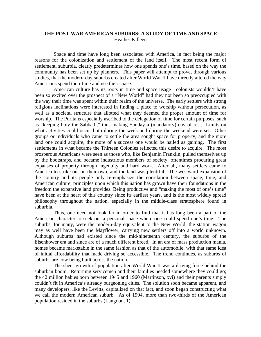# **THE POST-WAR AMERICAN SUBURBS: A STUDY OF TIME AND SPACE**  Heather Killeen

Space and time have long been associated with America, in fact being the major reasons for the colonization and settlement of the land itself. The most recent form of settlement, suburbia, clearly predetermines how one spends one's time, based on the way the community has been set up by planners. This paper will attempt to prove, through various studies, that the modern-day suburbs created after World War II have directly altered the way Americans spend their time and use their space.

American culture has its roots in time and space usage—colonists wouldn't have been so excited over the prospect of a "New World" had they not been so preoccupied with the way their time was spent within their realm of the universe. The early settlers with strong religious inclinations were interested in finding a place to worship without persecution, as well as a societal structure that allotted what they deemed the proper amount of time for worship. The Puritans especially ascribed to the delegation of time for certain purposes, such as "keeping holy the Sabbath," thus making Sunday a (mandatory) day of rest. Limits on what activities could occur both during the week and during the weekend were set. Other groups or individuals who came to settle the area sought space for property, and the more land one could acquire, the more of a success one would be hailed as gaining. The first settlements in what became the Thirteen Colonies reflected this desire to acquire. The most prosperous Americans were seen as those who, like Benjamin Franklin, pulled themselves up by the bootstraps, and became industrious members of society, oftentimes procuring great expanses of property through ingenuity and hard work. After all, many settlers came to America to strike out on their own, and the land was plentiful. The westward expansion of the country and its people only re-emphasize the correlation between space, time, and American culture; principles upon which this nation has grown have their foundations in the freedom the expansive land provides. Being productive and "making the most of one's time" have been at the heart of this country since its earliest years, and is the most widely spread philosophy throughout the nation, especially in the middle-class stratosphere found in suburbia.

 Thus, one need not look far in order to find that it has long been a part of the American character to seek out a personal space where one could spend one's time. The suburbs, for many, were the modern-day equivalent to the New World; the station wagon may as well have been the Mayflower, carrying new settlers off into a world unknown. Although suburbs had existed since the mid-nineteenth century, the suburbs of the Eisenhower era and since are of a much different breed. In an era of mass production mania, homes became marketable in the same fashion as that of the automobile, with that same idea of initial affordability that made driving so accessible. The trend continues, as suburbs of suburbs are now being built across the nation.

The sheer growth of population after World War II was a driving force behind the suburban boom. Returning servicemen and their families needed somewhere they could go; the 42 million babies born between 1945 and 1960 (Martinson, xvi) and their parents simply couldn't fit in America's already burgeoning cities. The solution soon became apparent, and many developers, like the Levitts, capitalized on that fact, and soon began constructing what we call the modern American suburb. As of 1994, more than two-thirds of the American population resided in the suburbs (Langdon, 1).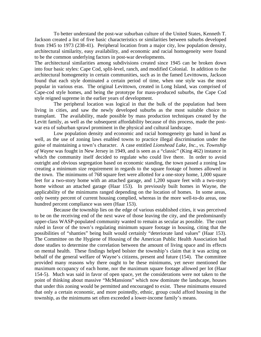To better understand the post-war suburban culture of the United States, Kenneth T. Jackson created a list of five basic characteristics or similarities between suburbs developed from 1945 to 1973 (238-41). Peripheral location from a major city, low population density, architectural similarity, easy availability, and economic and racial homogeneity were found to be the common underlying factors in post-war developments.

The architectural similarities among subdivisions created since 1945 can be broken down into four basic styles: Cape Cod, split-level, ranch, and modified Colonial. In addition to the architectural homogeneity in certain communities, such as in the famed Levittowns, Jackson found that each style dominated a certain period of time, when one style was the most popular in various eras. The original Levittown, created in Long Island, was comprised of Cape-cod style homes, and being the prototype for mass-produced suburbs, the Cape Cod style reigned supreme in the earlier years of development.

 The peripheral location was logical in that the bulk of the population had been living in cities, and saw the newly developed suburbs as the most suitable choice to transplant. The availability, made possible by mass production techniques created by the Levitt family, as well as the subsequent affordability because of this process, made the postwar era of suburban sprawl prominent in the physical and cultural landscape.

 Low population density and economic and racial homogeneity go hand in hand as well, as the use of zoning laws enabled towns to practice illegal discrimination under the guise of maintaining a town's character. A case entitled *Lionshead Lake, Inc., vs. Township of Wayne* was fought in New Jersey in 1949, and is seen as a "classic" (King 462) instance in which the community itself decided to regulate who could live there. In order to avoid outright and obvious segregation based on economic standing, the town passed a zoning law creating a minimum size requirement in regards to the square footage of homes allowed in the town. The minimums of 768 square feet were allotted for a one-story home, 1,000 square feet for a two-story home with an attached garage, and 1,200 square feet with a two-story home without an attached garage (Haar 153). In previously built homes in Wayne, the applicability of the minimums ranged depending on the location of homes. In some areas, only twenty percent of current housing complied, whereas in the more well-to-do areas, one hundred percent compliance was seen (Haar 153).

 Because the township lies on the edge of various established cities, it was perceived to be on the receiving end of the next wave of those leaving the city, and the predominantly upper-class WASP-populated community wanted to remain as secular as possible. The court ruled in favor of the town's regulating minimum square footage in housing, citing that the possibilities of "shanties" being built would certainly "deteriorate land values" (Haar 153). The Committee on the Hygiene of Housing of the American Public Health Association had done studies to determine the correlation between the amount of living space and its effects on mental health. These findings helped bolster the township's claim that it was acting on behalf of the general welfare of Wayne's citizens, present and future (154). The committee provided many reasons why there ought to be these minimums, yet never mentioned the maximum occupancy of each home, nor the maximum square footage allowed per lot (Haar 154-5). Much was said in favor of open space, yet the considerations were not taken to the point of thinking about massive "McMansions" which now dominate the landscape, houses that under this zoning would be permitted and encouraged to exist. These minimums ensured that only a certain economic, and more pointedly, ethnic, group could afford housing in the township, as the minimums set often exceeded a lower-income family's means.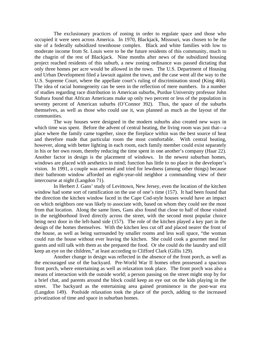The exclusionary practices of zoning in order to regulate space and those who occupied it were seen across America. In 1970, Blackjack, Missouri, was chosen to be the site of a federally subsidized townhouse complex. Black and white families with low to moderate income from St. Louis were to be the future residents of this community, much to the chagrin of the rest of Blackjack. Nine months after news of the subsidized housing project reached residents of this suburb, a new zoning ordinance was passed dictating that only three homes per acre would be allowed in the town. The U.S. Department of Housing and Urban Development filed a lawsuit against the town, and the case went all the way to the U.S. Supreme Court, where the appellate court's ruling of discrimination stood (King 466). The idea of racial homogeneity can be seen in the reflection of mere numbers. In a number of studies regarding race distribution in American suburbs, Purdue University professor John Stahura found that African Americans make up only two percent or less of the population in seventy percent of American suburbs (O'Connor 392). Thus, the space of the suburbs themselves, as well as those who could use it, was planned as much as the layout of the communities.

 The way houses were designed in the modern suburbs also created new ways in which time was spent. Before the advent of central heating, the living room was just that—a place where the family came together, since the fireplace within was the best source of heat and therefore made that particular room the most comfortable. With central heating, however, along with better lighting in each room, each family member could exist separately in his or her own room, thereby reducing the time spent in one another's company (Haar 22). Another factor in design is the placement of windows. In the newest suburban homes, windows are placed with aesthetics in mind; function has little to no place in the developer's vision. In 1991, a couple was arrested and tried for lewdness (among other things) because their bathroom window afforded an eight-year-old neighbor a commanding view of their intercourse at night (Langdon 71).

 In Herbert J. Gans' study of Levittown, New Jersey, even the location of the kitchen window had some sort of ramification on the use of one's time (157). It had been found that the direction the kitchen window faced in the Cape Cod-style houses would have an impact on which neighbors one was likely to associate with, based on whom they could see the most from that location. Along the same lines, Gans also found that close to half of those visited in the neighborhood lived directly across the street, with the second most popular choice being next door in the left-hand side (157). The role of the kitchen played a key part in the design of the homes themselves. With the kitchen less cut off and placed nearer the front of the house, as well as being surrounded by smaller rooms and less wall space, "the woman could run the house without ever leaving the kitchen. She could cook a gourmet meal for guests and still talk with them as she prepared the food. Or she could do the laundry and still keep an eye on the children," at least according to Clifford Clark (Gillis 129).

 Another change in design was reflected in the absence of the front porch, as well as the encouraged use of the backyard. Pre-World War II homes often possessed a spacious front porch, where entertaining as well as relaxation took place. The front porch was also a means of interaction with the outside world; a person passing on the street might stop by for a brief chat, and parents around the block could keep an eye out on the kids playing in the street. The backyard as the entertaining area gained prominence in the post-war era (Langdon 149). Poolside relaxation took the place of the porch, adding to the increased privatization of time and space in suburban homes.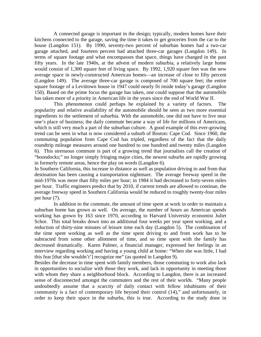A connected garage is important in the design; typically, modern homes have their kitchens connected to the garage, saving the time it takes to get groceries from the car to the house (Langdon 151). By 1990, seventy-two percent of suburban homes had a two-car garage attached, and fourteen percent had attached three-car garages (Langdon 149). In terms of square footage and what encompasses that space, things have changed in the past fifty years. In the late 1940s, at the advent of modern suburbia, a relatively large home would consist of 1,300 square feet of living space. By 1992, 1,920 square feet was the new average space in newly-constructed American homes—an increase of close to fifty percent (Langdon 149). The average three-car garage is composed of 700 square feet; the entire square footage of a Levittown house in 1947 could nearly fit inside today's garage (Langdon 150). Based on the prime focus the garage has taken, one could suppose that the automobile has taken more of a priority in American life in the years since the end of World War II.

 This phenomenon could perhaps be explained by a variety of factors. The popularity and relative availability of the automobile should be seen as two more essential ingredients to the settlement of suburbia. With the automobile, one did not have to live near one's place of business; the daily commute became a way of life for millions of Americans, which is still very much a part of the suburban culture. A good example of this ever-growing trend can be seen in what is now considered a suburb of Boston: Cape Cod. Since 1960, the commuting population from Cape Cod has tripled, regardless of the fact that the daily roundtrip mileage measures around one hundred to one hundred and twenty miles (Langdon 6). This strenuous commute is part of a growing trend that journalists call the creation of "boondocks;" no longer simply fringing major cities, the newest suburbs are rapidly growing in formerly remote areas, hence the play on words (Langdon 6).

In Southern California, this increase in distance as well as population driving to and from that destination has been causing a transportation nightmare. The average freeway speed in the mid-1970s was more than fifty miles per hour; in 1984 it had decreased to forty-seven miles per hour. Traffic engineers predict that by 2010, if current trends are allowed to continue, the average freeway speed in Southern California would be reduced to roughly twenty-four miles per hour (7).

In addition to the commute, the amount of time spent at work in order to maintain a suburban home has grown as well. On average, the number of hours an American spends working has grown by 163 since 1970, according to Harvard University economist Juliet Schor. This total breaks down into an additional four weeks per year spent working, and a reduction of thirty-nine minutes of leisure time each day (Langdon 5). The combination of the time spent working as well as the time spent driving to and from work has to be subtracted from some other allotment of time, and so time spent with the family has decreased dramatically. Karen Palmer, a financial manager, expressed her feelings in an interview regarding working and having a young child at home: "When she was little, I had this fear [that she wouldn't'] recognize me" (as quoted in Langdon 9).

Besides the decrease in time spent with family members, those commuting to work also lack in opportunities to socialize with those they work, and lack in opportunity in meeting those with whom they share a neighborhood block. According to Langdon, there is an increased sense of disconnected amongst the commuters and the rest of their worlds. "Many people undoubtedly assume that a scarcity of daily contact with fellow inhabitants of their community is a fact of contemporary life beyond their control (14)," and unfortunately, in order to keep their space in the suburbs, this is true. According to the study done in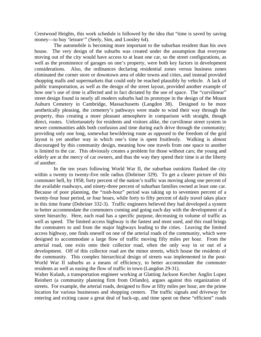Crestwood Heights, this work schedule is followed by the idea that "time is saved by saving money—to buy 'leisure'" (Seely, Sim, and Loosley 64).

The automobile is becoming more important to the suburban resident than his own house. The very design of the suburbs was created under the assumption that everyone moving out of the city would have access to at least one car, so the street configurations, as well as the prominence of garages on one's property, were both key factors in development considerations. Also, the ordinances declaring residential zones versus business zones eliminated the corner store or downtown area of older towns and cities, and instead provided shopping malls and supermarkets that could only be reached plausibly by vehicle. A lack of public transportation, as well as the design of the street layout, provided another example of how one's use of time is affected and in fact dictated by the use of space. The "curvilinear" street design found in nearly all modern suburbs had its prototype in the design of the Mount Auburn Cemetery in Cambridge, Massachusetts (Langdon 38). Designed to be more aesthetically pleasing, the cemetery's pathways were made to wind their way through the property, thus creating a more pleasant atmosphere in comparison with straight, though direct, routes. Unfortunately for residents and visitors alike, the curvilinear street system in newer communities adds both confusion and time during each drive through the community; providing only one long, somewhat bewildering route as opposed to the freedom of the grid layout is yet another way in which one's time is spent fruitlessly. Walking is almost discouraged by this community design, meaning how one travels from one space to another is limited to the car. This obviously creates a problem for those without cars; the young and elderly are at the mercy of car owners, and thus the way they spend their time is at the liberty of another.

In the ten years following World War II, the suburban outskirts flanked the city within a twenty to twenty-five mile radius (Dobriner 329). To get a clearer picture of this commuter hell, by 1958, forty percent of the nation's traffic was moving along one percent of the available roadways, and ninety-three percent of suburban families owned at least one car. Because of poor planning, the "rush-hour" period was taking up to seventeen percent of a twenty-four hour period, or four hours, while forty to fifty percent of daily travel takes place in this time frame (Dobriner 332-3). Traffic engineers believed they had developed a system to better accommodate the commuters coming and going each day with the development of a street hierarchy. Here, each road has a specific purpose, decreasing in volume of traffic as well as speed. The limited access highway is the fastest and most used, and this road brings the commuters to and from the major highways leading to the cities. Leaving the limited access highway, one finds oneself on one of the arterial roads of the community, which were designed to accommodate a large flow of traffic moving fifty miles per hour. From the arterial road, one exits onto their collector road, often the only way in or out of a development. Off of this collector road are the minor streets, which house the residents of the community. This complex hierarchical design of streets was implemented in the post-World War II suburbs as a means of efficiency, to better accommodate the commuter residents as well as easing the flow of traffic in town (Langdon 29-31).

Walter Kulash, a transportation engineer working at Glatting Jackson Kercher Anglin Lopez Reinhert (a community planning firm from Orlando), argues against this organization of streets. For example, the arterial roads, designed to flow at fifty miles per hour, are the prime location for various businesses and shopping centers. The traffic signals and driveway for entering and exiting cause a great deal of back-up, and time spent on these "efficient" roads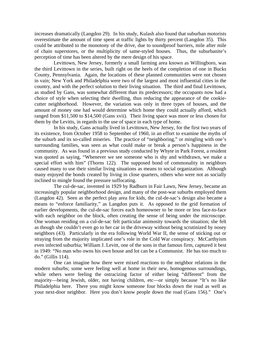increases dramatically (Langdon 29). In his study, Kulash also found that suburban motorists overestimate the amount of time spent at traffic lights by thirty percent (Langdon 35). This could be attributed to the monotony of the drive, due to soundproof barriers, mile after mile of chain superstores, or the multiplicity of same-styled houses. Thus, the suburbanite's perception of time has been altered by the mere design of his space.

Levittown, New Jersey, formerly a small farming area known as Willingboro, was the third Levittown in the series, built right on the heels of the completion of one in Bucks County, Pennsylvania. Again, the locations of these planned communities were not chosen in vain; New York and Philadelphia were two of the largest and most influential cities in the country, and with the perfect solution to their living situation. The third and final Levittown, as studied by Gans, was somewhat different than its predecessors; the occupants now had a choice of style when selecting their dwelling, thus reducing the appearance of the cookiecutter neighborhood. However, the variation was only in three types of houses, and the amount of money one had would determine which home they could actually afford, which ranged from \$11,500 to \$14,500 (Gans xvii). Their living space was more or less chosen for them by the Levitts, in regards to the use of space in each type of home.

In his study, Gans actually lived in Levittown, New Jersey, for the first two years of its existence, from October 1958 to September of 1960, in an effort to examine the myths of the suburb and its so-called miseries. The practice of "neighboring," or mingling with one's surrounding families, was seen as what could make or break a person's happiness in the community. As was found in a previous study conducted by Whyte in Park Forest, a resident was quoted as saying, "Whenever we see someone who is shy and withdrawn, we make a special effort with him" (Thorns 122). The supposed bond of commonality in neighbors caused many to use their similar living situations as means to social organization. Although many enjoyed the bonds created by living in close quarters, others who were not as socially inclined to mingle found the pressure suffocating.

The cul-de-sac, invented in 1929 by Radburn in Fair Lawn, New Jersey, became an increasingly popular neighborhood design, and many of the post-war suburbs employed them (Langdon 42). Seen as the perfect play area for kids, the cul-de-sac's design also became a means to "enforce familiarity," as Langdon puts it. As opposed to the grid formation of earlier developments, the cul-de-sac forces each homeowner to be more or less face-to-face with each neighbor on the block, often creating the sense of being under the microscope. One woman residing on a cul-de-sac felt particular animosity towards the situation; she felt as though she couldn't even go to her car in the driveway without being scrutinized by nosey neighbors (43). Particularly in the era following World War II, the sense of sticking out or straying from the majority implicated one's role in the Cold War conspiracy. McCarthyism even infected suburbia; William J. Levitt, one of the sons in that famous firm, captured it best in 1949: "No man who owns his own house and lot can be a Communist. He has too much to do." (Gillis 114).

One can imagine how there were mixed reactions to the neighbor relations in the modern suburbs; some were feeling well at home in their new, homogenous surroundings, while others were feeling the ostracizing factor of either being "different" from the majority—being Jewish, older, not having children, etc—or simply because "It's no like Philadelphia here. There you might know someone four blocks down the road as well as your next-door neighbor. Here you don't know people down the road (Gans 156)." One's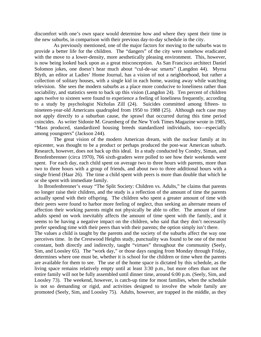discomfort with one's own space would determine how and where they spent their time in the new suburbs, in comparison with their previous day-to-day schedule in the city.

As previously mentioned, one of the major factors for moving to the suburbs was to provide a better life for the children. The "dangers" of the city were somehow eradicated with the move to a lower-density, more aesthetically pleasing environment. This, however, is now being looked back upon as a great misconception. As San Francisco architect Daniel Solomon jokes, one doesn't hear much about "cul-de-sac smarts" (Langdon 44). Myrna Blyth, an editor at Ladies' Home Journal, has a vision of not a neighborhood, but rather a collection of solitary houses, with a single kid in each home, wasting away while watching television. She sees the modern suburbs as a place more conducive to loneliness rather than sociability, and statistics seem to back up this vision (Langdon 24). Ten percent of children ages twelve to sixteen were found to experience a feeling of loneliness frequently, according to a study by psychologist Nicholas Zill (24). Suicides committed among fifteen- to nineteen-year-old Americans quadrupled from 1950 to 1988 (25). Although each case may not apply directly to a suburban cause, the sprawl that occurred during this time period coincides. As writer Sidonie M. Gruenberg of the New York Times Magazine wrote in 1985, "Mass produced, standardized housing breeds standardized individuals, too—especially among youngsters" (Jackson 244).

The great vision of the modern American dream, with the nuclear family at its epicenter, was thought to be a product or perhaps produced the post-war American suburb. Research, however, does not back up this ideal. In a study conducted by Condry, Siman, and Bronfenbrenner (circa 1970), 766 sixth-graders were polled to see how their weekends were spent. For each day, each child spent on average two to three hours with parents, more than two to three hours with a group of friends, and about two to three additional hours with a single friend (Haar 26). The time a child spent with peers is more than double that which he or she spent with immediate family.

 In Bronfenbrenner's essay "The Split Society: Children vs. Adults," he claims that parents no longer raise their children, and the study is a reflection of the amount of time the parents actually spend with their offspring. The children who spent a greater amount of time with their peers were found to harbor more feeling of neglect, thus seeking an alternate means of affection their working parents might not physically be able to offer. The amount of time adults spend on work inevitably affects the amount of time spent with the family, and it seems to be having a negative impact on the children, who said that they don't necessarily prefer spending time with their peers than with their parents; the option simply isn't there.

The values a child is taught by the parents and the society of the suburbs affect the way one perceives time. In the Crestwood Heights study, punctuality was found to be one of the most constant, both directly and indirectly, taught "virtues" throughout the community (Seely, Sim, and Loosley 65). The "work day," or those days ranging from Monday through Friday, determines where one must be, whether it is school for the children or time when the parents are available for them to see. The use of the home space is dictated by this schedule, as the living space remains relatively empty until at least 3:30 p.m., but more often than not the entire family will not be fully assembled until dinner time, around 6:00 p.m. (Seely, Sim, and Loosley 73). The weekend, however, is catch-up time for most families, when the schedule is not so demanding or rigid, and activities designed to involve the whole family are promoted (Seely, Sim, and Loosley 75). Adults, however, are trapped in the middle, as they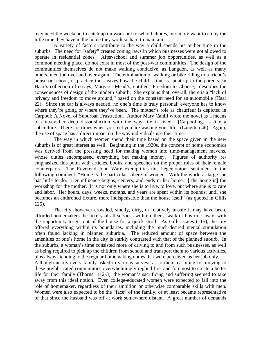may need the weekend to catch up on work or household chores, or simply want to enjoy the little time they have in the home they work so hard to maintain.

A variety of factors contribute to the way a child spends his or her time in the suburbs. The need for "safety" created zoning laws in which businesses were not allowed to operate in residential zones. After-school and summer job opportunities, as well as a common meeting place, do not exist in most of the post-war communities. The design of the communities themselves do not make walking conducive, as Langdon, as well as many others, mention over and over again. The elimination of walking or bike riding to a friend's house or school, or practice thus leaves how the child's time is spent up to the parents. In Haar's collection of essays, Margaret Mead's, entitled "Freedom to Choose," describes the consequences of design of the modern suburb. She explains that, overall, there is a "lack of privacy and freedom to move around," based on the constant need for an automobile (Haar 22). Since the car is always needed, no one's time is truly personal; everyone has to know where they're going or where they've been. The mother's role as chauffeur is depicted in Carpool: A Novel of Suburban Frustration. Author Mary Cahill wrote the novel as a means to convey her deep dissatisfaction with the way life is lived: "[Carpooling] is like a subculture. There are times when you feel you are wasting your life" (Langdon 46). Again, the use of space has a direct impact on the way individuals use their time.

The way in which women spend their time based on the space given in the new suburbs is of great interest as well. Beginning in the 1920s, the concept of home economics was derived from the pressing need for making women into time-management mavens, whose duties encompassed everything but making money. Figures of authority reemphasized this point with articles, books, and speeches on the proper roles of their female counterparts. The Reverend John Ware exemplifies this hegemonious sentiment in the following comment: "Home is the particular sphere of women. With the world at large she has little to do. Her influence begins, centers, and ends in her home. [The home is] the workshop for the mother. It is not only where she is to live, to love, but where she is to care and labor. Her hours, days, weeks, months, and years are spent within its bounds; until she becomes an enthroned fixture, more indispensable than the house itself" (as quoted in Gillis 125).

The city, however crowded, smelly, dirty, or relatively unsafe it may have been, afforded homemakers the luxury of all services within either a walk or bus ride away, with the opportunity to get out of the house for a quick stroll. As Gillis states (115), the city offered everything within its boundaries, including the much-desired mental stimulation often found lacking in planned suburbia. The reduced amount of space between the amenities of one's home in the city is starkly contrasted with that of the planned suburb. In the suburbs, a woman's time consisted more of driving to and from such businesses, as well as being required to pick up the children from school and transport them to various activities, plus always tending to the regular homemaking duties that were perceived as her job only. Although nearly every family asked in various surveys as to their reasoning for moving to these prefabricated communities overwhelmingly replied first and foremost to create a better life for their family (Thorns 112-3), the woman's sacrificing and suffering seemed to take away from this ideal notion. Even college-educated women were expected to fall into the role of homemaker, regardless of their ambition or otherwise comparable skills with men. Women were also expected to be the "face" of the family, or at least became representative of that since the husband was off at work somewhere distant. A great number of demands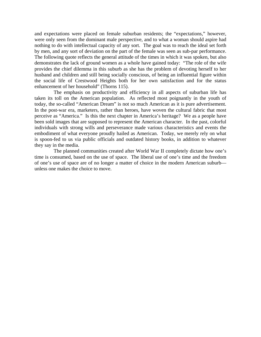and expectations were placed on female suburban residents; the "expectations," however, were only seen from the dominant male perspective, and to what a woman should aspire had nothing to do with intellectual capacity of any sort. The goal was to reach the ideal set forth by men, and any sort of deviation on the part of the female was seen as sub-par performance. The following quote reflects the general attitude of the times in which it was spoken, but also demonstrates the lack of ground women as a whole have gained today: "The role of the wife provides the chief dilemma in this suburb as she has the problem of devoting herself to her husband and children and still being socially conscious, of being an influential figure within the social life of Crestwood Heights both for her own satisfaction and for the status enhancement of her household" (Thorns 115).

The emphasis on productivity and efficiency in all aspects of suburban life has taken its toll on the American population. As reflected most poignantly in the youth of today, the so-called "American Dream" is not so much American as it is pure advertisement. In the post-war era, marketers, rather than heroes, have woven the cultural fabric that most perceive as "America." Is this the next chapter in America's heritage? We as a people have been sold images that are supposed to represent the American character. In the past, colorful individuals with strong wills and perseverance made various characteristics and events the embodiment of what everyone proudly hailed as American. Today, we merely rely on what is spoon-fed to us via public officials and outdated history books, in addition to whatever they say in the media.

The planned communities created after World War II completely dictate how one's time is consumed, based on the use of space. The liberal use of one's time and the freedom of one's use of space are of no longer a matter of choice in the modern American suburb unless one makes the choice to move.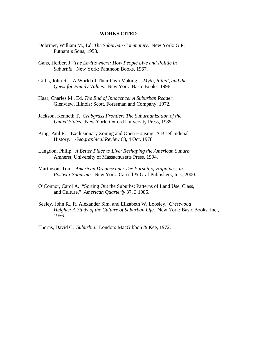#### **WORKS CITED**

- Dobriner, William M., Ed. *The Suburban Community*. New York: G.P. Putnam's Sons, 1958.
- Gans, Herbert J. *The Levittowners: How People Live and Politic in Suburbia*. New York: Pantheon Books, 1967.
- Gillis, John R. "A World of Their Own Making." *Myth, Ritual, and the Quest for Family Values.* New York: Basic Books, 1996.
- Haar, Charles M., Ed. *The End of Innocence: A Suburban Reader*. Glenview, Illinois: Scott, Foresman and Company, 1972.
- Jackson, Kenneth T. *Crabgrass Frontier: The Suburbanization of the United States*. New York: Oxford University Press, 1985.
- King, Paul E. "Exclusionary Zoning and Open Housing: A Brief Judicial History." *Geographical Review* 68, 4 Oct. 1978
- Langdon, Philip. *A Better Place to Live: Reshaping the American Suburb.*  Amherst, University of Massachusetts Press, 1994.
- Martinson, Tom. *American Dreamscape: The Pursuit of Happiness in Postwar Suburbia.* New York: Carroll & Graf Publishers, Inc., 2000.
- O'Connor, Carol A. "Sorting Out the Suburbs: Patterns of Land Use, Class, and Culture." *American Quarterly* 37, 3 1985.
- Seeley, John R., R. Alexander Sim, and Elizabeth W. Loosley. *Crestwood Heights: A Study of the Culture of Suburban Life*. New York: Basic Books, Inc., 1956.

Thorns, David C. *Suburbia*. London: MacGibbon & Kee, 1972.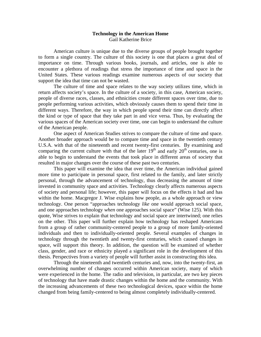#### **Technology in the American Home**  Gail Katherine Brice

 American culture is unique due to the diverse groups of people brought together to form a single country. The culture of this society is one that places a great deal of importance on time. Through various books, journals, and articles, one is able to encounter a plethora of readings that stress the importance of time and space in the United States. These various readings examine numerous aspects of our society that support the idea that time can not be wasted.

 The culture of time and space relates to the way society utilizes time, which in return affects society's space. In the culture of a society, in this case, American society, people of diverse races, classes, and ethnicities create different spaces over time, due to people performing various activities, which obviously causes them to spend their time in different ways. Therefore, the way in which people spend their time can directly affect the kind or type of space that they take part in and vice versa. Thus, by evaluating the various spaces of the American society over time, one can begin to understand the culture of the American people.

 One aspect of American Studies strives to compare the culture of time and space. Another broader approach would be to compare time and space in the twentieth century U.S.A. with that of the nineteenth and recent twenty-first centuries. By examining and comparing the current culture with that of the later  $19<sup>th</sup>$  and early  $20<sup>th</sup>$  centuries, one is able to begin to understand the events that took place in different areas of society that resulted in major changes over the course of these past two centuries.

 This paper will examine the idea that over time, the American individual gained more time to participate in personal space, first related to the family, and later strictly personal, through the advancement of technology, thus decreasing the amount of time invested in community space and activities. Technology clearly affects numerous aspects of society and personal life; however, this paper will focus on the effects it had and has within the home. Macgregor J. Wise explains how people, as a whole approach or view technology. One person "approaches technology *like* one would approach social space, and one approaches technology *when* one approaches social space" (Wise 125). With this quote, Wise strives to explain that technology and social space are intertwined; one relies on the other. This paper will further explain how technology has reshaped Americans from a group of rather community-centered people to a group of more family-oriented individuals and then to individually-oriented people. Several examples of changes in technology through the twentieth and twenty-first centuries, which caused changes in space, will support this theory. In addition, the question will be examined of whether class, gender, and race or ethnicity played a significant role in the development of this thesis. Perspectives from a variety of people will further assist in constructing this idea.

 Through the nineteenth and twentieth centuries and, now, into the twenty-first, an overwhelming number of changes occurred within American society, many of which were experienced in the home. The radio and television, in particular, are two key pieces of technology that have made drastic changes within the home and the community. With the increasing advancements of these two technological devices, space within the home changed from being family-centered to being almost completely individually-centered.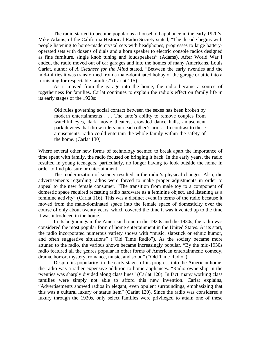The radio started to become popular as a household appliance in the early 1920's. Mike Adams, of the California Historical Radio Society stated, "The decade begins with people listening to home-made crystal sets with headphones, progresses to large batteryoperated sets with dozens of dials and a horn speaker to electric console radios designed as fine furniture, single knob tuning and loudspeakers" (Adams). After World War I ended, the radio moved out of car garages and into the homes of many Americans. Louis Carlat, author of *A Cleanser for the Mind* stated, "Between the early twenties and the mid-thirties it was transformed from a male-dominated hobby of the garage or attic into a furnishing for respectable families" (Carlat 115).

 As it moved from the garage into the home, the radio became a source of togetherness for families. Carlat continues to explain the radio's effect on family life in its early stages of the 1920s:

 Old rules governing social contact between the sexes has been broken by modern entertainments . . . The auto's ability to remove couples from watchful eyes, dark movie theaters, crowded dance halls, amusement park devices that threw riders into each other's arms – In contrast to these amusements, radio could entertain the whole family within the safety of the home. (Carlat 130)

Where several other new forms of technology seemed to break apart the importance of time spent with family, the radio focused on bringing it back. In the early years, the radio resulted in young teenagers, particularly, no longer having to look outside the home in order to find pleasure or entertainment.

 The modernization of society resulted in the radio's physical changes. Also, the advertisements regarding radios were forced to make proper adjustments in order to appeal to the new female consumer. "The transition from male toy to a component of domestic space required recasting radio hardware as a feminine object, and listening as a feminine activity" (Carlat 116). This was a distinct event in terms of the radio because it moved from the male-dominated space into the female space of domesticity over the course of only about twenty years, which covered the time it was invented up to the time it was introduced in the home.

 In its beginnings in the American home in the 1920s and the 1930s, the radio was considered the most popular form of home entertainment in the United States. At its start, the radio incorporated numerous variety shows with "music, slapstick or ethnic humor, and often suggestive situations" ("Old Time Radio"). As the society became more attuned to the radio, the various shows became increasingly popular. "By the mid-1930s radio featured all the genres popular in other forms of American entertainment: comedy, drama, horror, mystery, romance, music, and so on" ("Old Time Radio").

 Despite its popularity, in the early stages of its progress into the American home, the radio was a rather expensive addition to home appliances. "Radio ownership in the twenties was sharply divided along class lines" (Carlat 120). In fact, many working class families were simply not able to afford this new invention. Carlat explains, "Advertisements showed radios in elegant, even opulent surroundings, emphasizing that this was a cultural luxury or status item" (Carlat 120). Since the radio was considered a luxury through the 1920s, only select families were privileged to attain one of these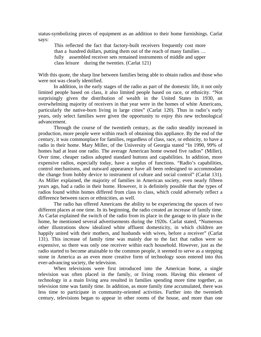status-symbolizing pieces of equipment as an addition to their home furnishings. Carlat says:

 This reflected the fact that factory-built receivers frequently cost more than a hundred dollars, putting them out of the reach of many families … fully assembled receiver sets remained instruments of middle and upper class leisure during the twenties. (Carlat 121)

With this quote, the sharp line between families being able to obtain radios and those who were not was clearly identified.

 In addition, in the early stages of the radio as part of the domestic life, it not only limited people based on class, it also limited people based on race, or ethnicity. "Not surprisingly given the distribution of wealth in the United States in 1930, an overwhelming majority of receivers in that year were in the homes of white Americans, particularly the native-born living in large cities" (Carlat 120). Thus in radio's early years, only select families were given the opportunity to enjoy this new technological advancement.

 Through the course of the twentieth century, as the radio steadily increased in production, more people were within reach of obtaining this appliance. By the end of the century, it was commonplace for families, regardless of class, race, or ethnicity, to have a radio in their home. Mary Miller, of the University of Georgia stated "In 1990, 99% of homes had at least one radio. The average American home owned five radios" (Miller). Over time, cheaper radios adopted standard buttons and capabilities. In addition, more expensive radios, especially today, have a surplus of functions. "Radio's capabilities, control mechanisms, and outward appearance have all been redesigned to accommodate the change from hobby device to instrument of culture and social control" (Carlat 131). As Miller explained, the majority of families in American society, even nearly fifteen years ago, had a radio in their home. However, it is definitely possible that the types of radios found within homes differed from class to class, which could adversely reflect a difference between races or ethnicities, as well.

 The radio has offered Americans the ability to be experiencing the spaces of two different places at one time. In its beginning, the radio created an increase of family time. As Carlat explained the switch of the radio from its place in the garage to its place in the home, he mentioned several advertisements during the 1920s. Carlat stated, "Numerous other illustrations show idealized white affluent domesticity, in which children are happily united with their mothers, and husbands with wives, before a receiver" (Carlat 131). This increase of family time was mainly due to the fact that radios were so expensive, so there was only one receiver within each household. However, just as the radio started to become attainable to the common people, it seemed to serve as a stepping stone in America as an even more creative form of technology soon entered into this ever-advancing society, the television.

 When televisions were first introduced into the American home, a single television was often placed in the family, or living room. Having this element of technology in a main living area resulted in families spending more time together, as television time was family time. In addition, as more family time accumulated, there was less time to participate in community-oriented activities. Further into the twentieth century, televisions began to appear in other rooms of the house, and more than one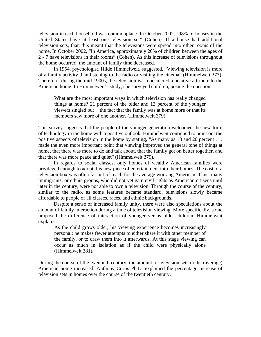television in each household was commonplace. In October 2002, "98% of houses in the United States have at least one television set" (Cohen). If a house had additional television sets, than this meant that the televisions were spread into other rooms of the home. In October 2002, "In America, approximately 20% of children between the ages of 2 - 7 have televisions in their rooms" (Cohen). As this increase of televisions throughout the home occurred, the amount of family time decreased.

 In 1954, psychologist, Hilde Himmelweit, suggested, "Viewing television is more of a family activity than listening to the radio or visiting the cinema" (Himmelweit 377). Therefore, during the mid-1900s, the television was considered a positive attribute to the American home. In Himmelweit's study, she surveyed children, posing the question:

 What are the most important ways in which television has really changed things at home? 21 percent of the older and 13 percent of the younger viewers singled out the fact that the family was at home more or that its members saw more of one another. (Himmelweit 379)

This survey suggests that the people of the younger generation welcomed the new form of technology in the home with a positive outlook. Himmelweit continued to point out the positive aspects of television in the home by stating, "As many as 18 and 20 percent . . . made the even more important point that viewing improved the general tone of things at home, that there was more to do and talk about, that the family got on better together, and that there was more peace and quiet" (Himmelweit 379).

 In regards to social classes, only homes of wealthy American families were privileged enough to adopt this new piece of entertainment into their homes. The cost of a television box was often far out of reach for the average working American. Thus, many immigrants, or ethnic groups, who did not yet gain civil rights as American citizens until later in the century, were not able to own a television. Through the course of the century, similar to the radio, as some features became standard, televisions slowly became affordable to people of all classes, races, and ethnic backgrounds.

 Despite a sense of increased family unity, there were also speculations about the amount of family interaction during a time of television viewing. More specifically, some proposed the difference of interaction of younger versus older children. Himmelweit explains:

 As the child grows older, his viewing experience becomes increasingly personal; he makes fewer attempts to either share it with other member of the family, or to draw them into it afterwards. At this stage viewing can occur as much in isolation as if the child were physically alone (Himmelweit 381).

During the course of the twentieth century, the amount of television sets in the (average) American home increased. Anthony Curtis Ph.D. explained the percentage increase of television sets in homes over the course of the twentieth century: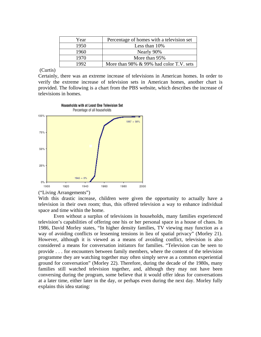| Year | Percentage of homes with a television set |
|------|-------------------------------------------|
| 1950 | Less than $10\%$                          |
| 1960 | Nearly 90%                                |
| 1970 | More than 95%                             |
| 1992 | More than 98% & 99% had color T.V. sets   |

# (Curtis)

Certainly, there was an extreme increase of televisions in American homes. In order to verify the extreme increase of television sets in American homes, another chart is provided. The following is a chart from the PBS website, which describes the increase of televisions in homes.



#### ("Living Arrangements")

With this drastic increase, children were given the opportunity to actually have a television in their own room; thus, this offered television a way to enhance individual space and time within the home.

Even without a surplus of televisions in households, many families experienced television's capabilities of offering one his or her personal space in a house of chaos. In 1986, David Morley states, "In higher density families, TV viewing may function as a way of avoiding conflicts or lessening tensions in lieu of spatial privacy" (Morley 21). However, although it is viewed as a means of avoiding conflict, television is also considered a means for conversation initiators for families. "Television can be seen to provide . . . for encounters between family members, where the content of the television programme they are watching together may often simply serve as a common experiential ground for conversation" (Morley 22). Therefore, during the decade of the 1980s, many families still watched television together, and, although they may not have been conversing during the program, some believe that it would offer ideas for conversations at a later time, either later in the day, or perhaps even during the next day. Morley fully explains this idea stating: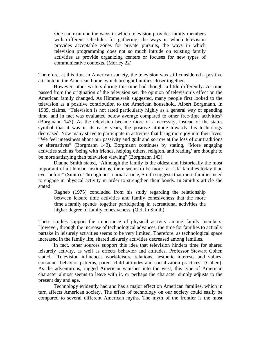One can examine the ways in which television provides family members with different schedules for gathering, the ways in which television provides acceptable zones for private pursuits, the ways in which television programming does not so much intrude on existing family activities as provide organizing centers or focuses for new types of communicative contexts. (Morley 22)

Therefore, at this time in American society, the television was still considered a positive attribute in the American home, which brought families closer together.

 However, other writers during this time had thought a little differently. As time passed from the origination of the television set, the opinion of television's effect on the American family changed. As Himmelweit suggested, many people first looked to the television as a positive contribution to the American household. Albert Borgmann, in 1985, claims, "Television is not rated particularly highly as a general way of spending time, and in fact was evaluated below average compared to other free-time activities" (Borgmann 143). As the television became more of a necessity, instead of the status symbol that it was in its early years, the positive attitude towards this technology decreased. Now many strive to participate in activities that bring more joy into their lives. "We feel uneasiness about our passivity and guilt and sorrow at the loss of our traditions or alternatives" (Borgmann 143). Borgmann continues by stating, "More engaging activities such as 'being with friends, helping others, religion, and reading' are thought to be more satisfying than television viewing" (Borgmann 143).

 Dianne Smith stated, "Although the family is the oldest and historically the most important of all human institutions, there seems to be more 'at risk' families today than ever before" (Smith). Through her journal article, Smith suggests that more families need to engage in physical activity in order to strengthen their bonds. In Smith's article she stated:

 Ragheb (1975) concluded from his study regarding the relationship between leisure time activities and family cohesiveness that the more time a family spends together participating in recreational activities the higher degree of family cohesiveness. (Qtd. In Smith)

These studies support the importance of physical activity among family members. However, through the increase of technological advances, the time for families to actually partake in leisurely activities seems to be very limited. Therefore, as technological space increased in the family life, shared leisurely activities decreased among families.

 In fact, other sources support this idea that television hinders time for shared leisurely activity, as well as effects behavior and attitudes. Professor Stewart Cohen stated, "Television influences work-leisure relations, aesthetic interests and values, consumer behavior patterns, parent-child attitudes and socialization practices" (Cohen). As the adventurous, rugged American vanishes into the west, this type of American character almost seems to leave with it, or perhaps the character simply adjusts to the present day and age.

 Technology evidently had and has a major effect on American families, which in turn affects American society. The effect of technology on our society could easily be compared to several different American myths. The myth of the frontier is the most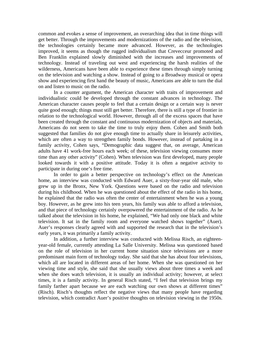common and evokes a sense of improvement, an overarching idea that in time things will get better. Through the improvements and modernizations of the radio and the television, the technologies certainly became more advanced. However, as the technologies improved, it seems as though the rugged individualism that Crevecceur promoted and Ben Franklin explained slowly diminished with the increases and improvements of technology. Instead of traveling out west and experiencing the harsh realities of the wilderness, Americans have been able to experience these times through simply turning on the television and watching a show. Instead of going to a Broadway musical or opera show and experiencing first hand the beauty of music, Americans are able to turn the dial on and listen to music on the radio.

 In a counter argument, the American character with traits of improvement and individualistic could be developed through the constant advances in technology. The American character causes people to feel that a certain design or a certain way is never quite good enough; things must still get better. Therefore, there is still a type of frontier in relation to the technological world. However, through all of the excess spaces that have been created through the constant and continuous modernization of objects and materials, Americans do not seem to take the time to truly enjoy them. Cohen and Smith both suggested that families do not give enough time to actually share in leisurely activities, which are often a way to strengthen family bonds. However, instead of partaking in a family activity, Cohen says, "Demographic data suggest that, on average, American adults have 41 work-free hours each week; of these, television viewing consumes more time than any other activity" (Cohen). When television was first developed, many people looked towards it with a positive attitude. Today it is often a negative activity to participate in during one's free time.

 In order to gain a better perspective on technology's effect on the American home, an interview was conducted with Edward Auer, a sixty-four-year old male, who grew up in the Bronx, New York. Questions were based on the radio and television during his childhood. When he was questioned about the effect of the radio in his home, he explained that the radio was often the center of entertainment when he was a young boy. However, as he grew into his teen years, his family was able to afford a television, and that piece of technology certainly overpowered the entertainment of the radio. As he talked about the television in his home, he explained, "We had only one black and white television. It sat in the family room and everyone watched shows together" (Auer). Auer's responses clearly agreed with and supported the research that in the television's early years, it was primarily a family activity.

 In addition, a further interview was conducted with Melissa Risch, an eighteenyear-old female, currently attending La Salle University. Melissa was questioned based on the role of television in her current home situation since televisions are a more predominant main form of technology today. She said that she has about four televisions, which all are located in different areas of her home. When she was questioned on her viewing time and style, she said that she usually views about three times a week and when she does watch television, it is usually an individual activity; however, at select times, it is a family activity. In general Risch stated, "I feel that television brings my family farther apart because we are each watching our own shows at different times" (Risch). Risch's thoughts reflect the negative views that many people have regarding television, which contradict Auer's positive thoughts on television viewing in the 1950s.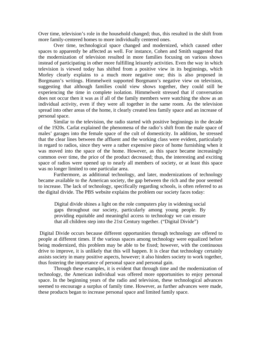Over time, television's role in the household changed; thus, this resulted in the shift from more family-centered homes to more individually centered ones.

 Over time, technological space changed and modernized, which caused other spaces to apparently be affected as well. For instance, Cohen and Smith suggested that the modernization of television resulted in more families focusing on various shows instead of participating in other more fulfilling leisurely activities. Even the way in which television is viewed today has shifted from a positive view in its beginnings, which Morley clearly explains to a much more negative one; this is also proposed in Borgmann's writings. Himmelweit supported Borgmann's negative view on television, suggesting that although families could view shows together, they could still be experiencing the time in complete isolation. Himmelweit stressed that if conversation does not occur then it was as if all of the family members were watching the show as an individual activity, even if they were all together in the same room. As the television spread into other areas of the home, it clearly created less family space and an increase of personal space.

 Similar to the television, the radio started with positive beginnings in the decade of the 1920s. Carlat explained the phenomena of the radio's shift from the male space of males' garages into the female space of the cult of domesticity. In addition, he stressed that the clear lines between the affluent and the working class were evident, particularly in regard to radios, since they were a rather expensive piece of home furnishing when it was moved into the space of the home. However, as this space became increasingly common over time, the price of the product decreased; thus, the interesting and exciting space of radios were opened up to nearly all members of society, or at least this space was no longer limited to one particular area.

 Furthermore, as additional technology, and later, modernizations of technology became available to the American society, the gap between the rich and the poor seemed to increase. The lack of technology, specifically regarding schools, is often referred to as the digital divide. The PBS website explains the problem our society faces today:

Digital divide shines a light on the role computers play in widening social gaps throughout our society, particularly among young people. By providing equitable and meaningful access to technology we can ensure that all children step into the 21st Century together. ("Digital Divide")

 Digital Divide occurs because different opportunities through technology are offered to people at different times. If the various spaces among technology were equalized before being modernized, this problem may be able to be fixed; however, with the continuous drive to improve, it is unlikely that this will happen. It is clear that technology certainly assists society in many positive aspects, however; it also hinders society to work together, thus fostering the importance of personal space and personal gain.

 Through these examples, it is evident that through time and the modernization of technology, the American individual was offered more opportunities to enjoy personal space. In the beginning years of the radio and television, these technological advances seemed to encourage a surplus of family time. However, as further advances were made, these products began to increase personal space and limited family space.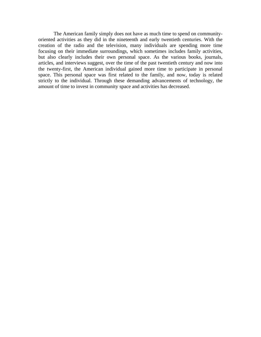The American family simply does not have as much time to spend on communityoriented activities as they did in the nineteenth and early twentieth centuries. With the creation of the radio and the television, many individuals are spending more time focusing on their immediate surroundings, which sometimes includes family activities, but also clearly includes their own personal space. As the various books, journals, articles, and interviews suggest, over the time of the past twentieth century and now into the twenty-first, the American individual gained more time to participate in personal space. This personal space was first related to the family, and now, today is related strictly to the individual. Through these demanding advancements of technology, the amount of time to invest in community space and activities has decreased.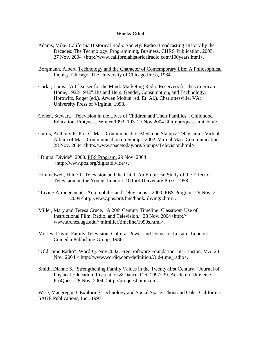#### **Works Cited**

- Adams, Mike. California Historical Radio Society. Radio Broadcasting History by the Decades: The Technology, Programming, Business. CHRS Publication. 2003. 27 Nov. 2004 <http://www.californiahistoricalradio.com/100years.html>.
- Borgmann, Albert. Technology and the Character of Contemporary Life: A Philosophical Inquiry. Chicago: The University of Chicago Press, 1984.
- Carlat, Louis. "A Cleanser for the Mind: Marketing Radio Receivers for the American Home, 1922-1932".His and Hers: Gender, Consumption, and Technology. Horowitz, Roger (ed.), Arwen Mohun (ed. Et. Al.). Charlottesville, VA: University Press of Virginia, 1998.
- Cohen, Stewart. "Television in the Lives of Children and Their Families". Childhood Education. ProQuest. Winter 1993: 103. 27 Nov 2004 <http:proquest.umi.com>.
- Curtis, Anthony R. Ph.D. "Mass Communication Media on Stamps: Television". Virtual Album of Mass Communication on Stamps. 2002. Virtual Mass Communication. 28 Nov. 2004 <http://www.spacetoday.org/Stamps/Television.html>.
- "Digital Divide". 2000. PBS Program. 29 Nov. 2004 <http://www.pbs.org/digitaldivide/>.
- Himmelweit, Hilde T. Television and the Child: An Empirical Study of the Effect of Television on the Young. London: Oxford University Press, 1958.
- "Living Arrangements: Automobiles and Televisions." 2000. PBS Program. 29 Nov. 2 2004<http://www.pbs.org/fmc/book/5living5.htm>.
- Miller, Mary and Teresa Cruce. "A 20th Century Timeline: Classroom Use of Instructional Film, Radio, and Television." 28 Nov. 2004<http:// www.arches.uga.edu/~mlmiller/timeline/1990s.html>.
- Morley, David. Family Television: Cultural Power and Domestic Leisure*.* London: Comedia Publishing Group, 1986.
- "Old Time Radio". WordIQ. Nov 2002. Free Software Foundation, Inc. Boston, MA. 28 Nov. 2004 < http://www.wordiq.com/definition/Old-time\_radio>.
- Smith, Dianne S. "Strengthening Family Values in the Twenty-first Century." Journal of Physical Education, Recreation & Dance. Oct. 1997: 39. Academic Universe. ProQuest. 28 Nov. 2004 <http://proquest.umi.com>.

Wise, Macgregor J. Exploring Technology and Social Space. Thousand Oaks, California: SAGE Publications, Inc., 1997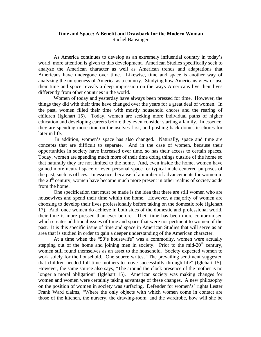## **Time and Space: A Benefit and Drawback for the Modern Woman**  Rachel Bausinger

 As America continues to develop as an extremely influential country in today's world, more attention is given to this development. American Studies specifically seek to analyze the American character as well as American trends and adaptations that Americans have undergone over time. Likewise, time and space is another way of analyzing the uniqueness of America as a country. Studying how Americans view or use their time and space reveals a deep impression on the ways Americans live their lives differently from other countries in the world.

 Women of today and yesterday have always been pressed for time. However, the things they did with their time have changed over the years for a great deal of women. In the past, women filled their time with mostly household chores and the rearing of children (Iglehart 15). Today, women are seeking more individual paths of higher education and developing careers before they even consider starting a family. In essence, they are spending more time on themselves first, and pushing back domestic chores for later in life.

 In addition, women's space has also changed. Naturally, space and time are concepts that are difficult to separate. And in the case of women, because their opportunities in society have increased over time, so has their access to certain spaces. Today, women are spending much more of their time doing things outside of the home so that naturally they are not limited to the home. And, even inside the home, women have gained more neutral space or even personal space for typical male-centered purposes of the past, such as offices. In essence, because of a number of advancements for women in the  $20<sup>th</sup>$  century, women have become much more present in other realms of society aside from the home.

 One specification that must be made is the idea that there are still women who are housewives and spend their time within the home. However, a majority of women are choosing to develop their lives professionally before taking on the domestic role (Iglehart 17). And, once women do achieve in both sides of the domestic and professional world, their time is more pressed than ever before. Their time has been more compromised which creates additional issues of time and space that were not pertinent to women of the past. It is this specific issue of time and space in American Studies that will serve as an area that is studied in order to gain a deeper understanding of the American character.

 At a time when the "50's housewife" was a commodity, women were actually stepping out of the home and joining men in society. Prior to the mid- $20<sup>th</sup>$  century, women still found themselves as an asset to the household. Society expected women to work solely for the household. One source writes, "The prevailing sentiment suggested that children needed full-time mothers to move successfully through life" (Iglehart 15). However, the same source also says, "The around the clock presence of the mother is no longer a moral obligation" (Iglehart 15). American society was making changes for women and women were certainly taking advantage of these changes. A new philosophy on the position of women in society was surfacing. Defender for women's' rights Lester Frank Ward claims, "Where the only objects with which women come in contact are those of the kitchen, the nursery, the drawing-room, and the wardrobe, how will she be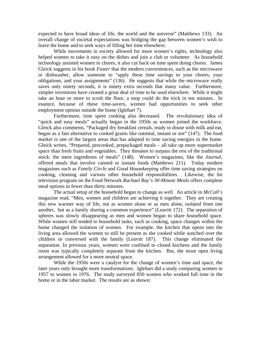expected to have broad ideas of life, the world and the universe" (Matthews 133). An overall change of societal expectations was bridging the gap between women's wish to leave the home and to seek ways of filling her time elsewhere.

 While movements in society allowed for more women's rights, technology also helped women to take it easy on the dishes and join a club or volunteer. As household technology assisted women in chores, it also cut back on time spent doing chores. James Gleick suggests in his book *Faster* that the modern conveniences, such as the microwave or dishwasher, allow someone to "apply these time savings to your chores, your obligations, and your assignments" (136). He suggests that while the microwave really saves only ninety seconds, it is ninety extra seconds that many value. Furthermore, simpler inventions have created a great deal of time to be used elsewhere. While it might take an hour or more to scrub the floor, a mop could do the trick in ten minutes. In essence, because of these time-savers, women had opportunities to seek other employment options outside the home (Iglehart 7).

 Furthermore, time spent cooking also decreased. The revolutionary idea of "quick and easy meals" actually began in the 1950s as women joined the workforce. Gleick also comments, "Packaged dry breakfast cereals, ready to douse with milk and eat, began as a fast alternative to cooked grains like oatmeal, instant or not" (147). The food market is one of the largest areas that has adapted to time saving energies in the home. Gleick writes, "Prepared, precooked, prepackaged meals – all take up more supermarket space than fresh fruits and vegetables. They threaten to surpass the rest of the traditional stock: the mere ingredients of meals" (148). Women's magazines, like the *Journal*, offered meals that involve canned or instant foods (Matthews 211). Today modern magazines such as *Family Circle* and *Good Housekeeping* offer time saving strategies on cooking, cleaning and various other household responsibilities. Likewise, the hit television program on the Food Network *Rachael Ray's 30-Minute Meals* offers complete meal options in fewer than thirty minutes.

 The actual setup of the household began to change as well. An article in *McCall's* magazine read, "Men, women and children are achieving it together. They are creating this new warmer way of life, not as women alone or as men alone, isolated from one another, but as a family sharing a common experience" (Leavitt 172). The separation of spheres was slowly disappearing as men and women began to share household space. While women still tended to household tasks, such as cooking, space changes within the home changed the isolation of women. For example, the kitchen that opens into the living area allowed the women to still be present as she cooked while watched over the children or conversed with the family (Leavitt 187). This change eliminated the separation. In previous years, women were confined to closed kitchens and the family room was typically completely separate from the kitchen. But, the more open living arrangement allowed for a more neutral space.

 While the 1950s were a catalyst for the change of women's time and space, the later years only brought more transformations. Iglehart did a study comparing women in 1957 to women in 1976. The study surveyed 850 women who worked full time in the home or in the labor market. The results are as shown: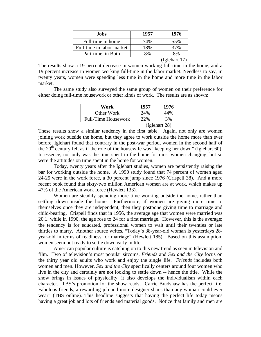| Jobs                      | 1957 | 1976                                 |
|---------------------------|------|--------------------------------------|
| Full-time in home         | 74%  | 55%                                  |
| Full-time in labor market | 18%  | 37%                                  |
| Part-time in Both         | 8%   | 8%                                   |
|                           |      | $(I_{\alpha}$ ] $_{\alpha}$ hort 17) |

(Iglehart 17)

The results show a 19 percent decrease in women working full-time in the home, and a 19 percent increase in women working full-time in the labor market. Needless to say, in twenty years, women were spending less time in the home and more time in the labor market.

 The same study also surveyed the same group of women on their preference for either doing full-time housework or other kinds of work. The results are as shown:

| Work                       | 1957 | 1976          |
|----------------------------|------|---------------|
| Other Work                 | 24%  | 44%           |
| <b>Full-Time Housework</b> | 22%  | 3%            |
|                            |      | (Iglehart 28) |

These results show a similar tendency in the first table. Again, not only are women joining work outside the home, but they agree to work outside the home more than ever before. Iglehart found that contrary in the post-war period, women in the second half of the  $20<sup>th</sup>$  century felt as if the role of the housewife was "keeping her down" (Iglehart 60). In essence, not only was the time spent in the home for most women changing, but so were the attitudes on time spent in the home for women.

 Today, twenty years after the Iglehart studies, women are persistently raising the bar for working outside the home. A 1990 study found that 74 percent of women aged 24-25 were in the work force, a 30 percent jump since 1976 (Crispell 38). And a more recent book found that sixty-two million American women are at work, which makes up 47% of the American work force (Hewlett 133).

 Women are steadily spending more time working outside the home, rather than settling down inside the home. Furthermore, if women are giving more time to themselves once they are independent, then they postpone giving time to marriage and child-bearing. Crispell finds that in 1956, the average age that women were married was 20.1. while in 1990, the age rose to 24 for a first marriage. However, this is the average; the tendency is for educated, professional women to wait until their twenties or late thirties to marry. Another source writes, "Today's 38-year-old woman is yesterdays 28 year-old in terms of readiness for marriage" (Hewlett 185). Based on this assumption, women seem not ready to settle down early in life.

 American popular culture is catching on to this new trend as seen in television and film. Two of television's most popular sitcoms, *Friends* and *Sex and the City* focus on the thirty year old adults who work and enjoy the single life. *Friends* includes both women and men. However, *Sex and the City* specifically centers around four women who live in the city and certainly are not looking to settle down -- hence the title. While the show brings in issues of physicality, it also develops the individualism within each character. TBS's promotion for the show reads, "Carrie Bradshaw has the perfect life. Fabulous friends, a rewarding job and more designer shoes than any woman could ever wear" (TBS online). This headline suggests that having the perfect life today means having a great job and lots of friends and material goods. Notice that family and men are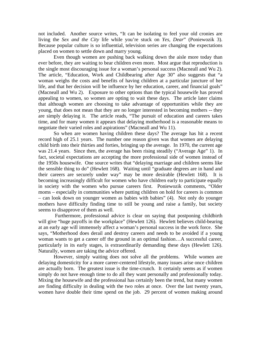not included. Another source writes, "It can be isolating to feel your old cronies are living the *Sex and the City* life while you're stuck on *Yes, Dear*" (Poniewozik 3). Because popular culture is so influential, television series are changing the expectations placed on women to settle down and marry young.

 Even though women are pushing back walking down the aisle more today than ever before, they are waiting to bear children even more. Most argue that reproduction is the single most discouraging issue for a woman's personal success (Macneall and Wu 2). The article, "Education, Work and Childbearing after Age 30" also suggests that "a woman weighs the costs and benefits of having children at a particular juncture of her life, and that her decision will be influence by her education, career, and financial goals" (Macneall and Wu 2). Exposure to other options than the typical housewife has proved appealing to women, so women are opting to wait these days. The article later claims that although women are choosing to take advantage of opportunities while they are young, that does not mean that they are no longer interested in becoming mothers -- they are simply delaying it. The article reads, "The pursuit of education and careers takes time, and for many women it appears that delaying motherhood is a reasonable means to negotiate their varied roles and aspirations" (Macneall and Wu 11).

 So when are women having children these days? The average has hit a recent record high of 25.1 years. The number one reason given was that women are delaying child birth into their thirties and forties, bringing up the average. In 1970, the current age was 21.4 years. Since then, the average has been rising steadily ("Average Age" 1). In fact, societal expectations are accepting the more professional side of women instead of the 1950s housewife. One source writes that "delaying marriage and children seems like the sensible thing to do" (Hewlett 168). Waiting until "graduate degrees are in hand and their careers are securely under way" may be more desirable (Hewlett 168). It is becoming increasingly difficult for women who have children early to participate equally in society with the women who pursue careers first. Poniewozik comments, "Older moms – especially in communities where putting children on hold for careers is common – can look down on younger women as babies with babies" (4). Not only do younger mothers have difficulty finding time to still be young and raise a family, but society seems to disapprove of them as well.

 Furthermore, professional advice is clear on saying that postponing childbirth will give "huge payoffs in the workplace" (Hewlett 126). Hewlett believes child-bearing at an early age will immensely affect a woman's personal success in the work force. She says, "Motherhood does derail and destroy careers and needs to be avoided if a young woman wants to get a career off the ground in an optimal fashion…A successful career, particularly in its early stages, is extraordinarily demanding these days (Hewlett 126). Naturally, women are taking the advice offered.

 However, simply waiting does not solve all the problems. While women are delaying domesticity for a more career-centered lifestyle, many issues arise once children are actually born. The greatest issue is the time-crunch. It certainly seems as if women simply do not have enough time to do all they want personally and professionally today. Mixing the housewife and the professional has certainly been the trend, but many women are finding difficulty in dealing with the two roles at once. Over the last twenty years, women have double their time spend on the job. 29 percent of women making around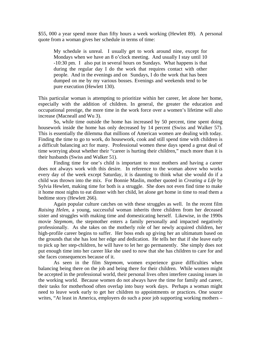\$55, 000 a year spend more than fifty hours a week working (Hewlett 89). A personal quote from a woman gives her schedule in terms of time:

 My schedule is unreal. I usually get to work around nine, except for Mondays when we have an 8 o'clock meeting. And usually I stay until 10 -10:30 pm. I also put in several hours on Sundays. What happens is that during the regular day I do the work that requires contact with other people. And in the evenings and on Sundays, I do the work that has been dumped on me by my various bosses. Evenings and weekends tend to be pure execution (Hewlett 130).

This particular woman is attempting to prioritize within her career, let alone her home, especially with the addition of children. In general, the greater the education and occupational prestige, the more time in the work force over a women's lifetime will also increase (Macneall and Wu 3).

 So, while time outside the home has increased by 50 percent, time spent doing housework inside the home has only decreased by 14 percent (Swiss and Walker 57). This is essentially the dilemma that millions of American women are dealing with today. Finding the time to go to work, do housework, cook and still spend time with children is a difficult balancing act for many. Professional women these days spend a great deal of time worrying about whether their "career is hurting their children," much more than it is their husbands (Swiss and Walker 51).

 Finding time for one's child is important to most mothers and having a career does not always work with this desire. In reference to the woman above who works every day of the week except Saturday, it is daunting to think what she would do if a child was thrown into the mix. For Bonnie Maslin, mother quoted in *Creating a Life* by Sylvia Hewlett, making time for both is a struggle. She does not even find time to make it home most nights to eat dinner with her child, let alone get home in time to read them a bedtime story (Hewlett 266).

 Again popular culture catches on with these struggles as well. In the recent film *Raising Helen*, a young, successful woman inherits three children from her deceased sister and struggles with making time and domesticating herself. Likewise, in the 1990s movie *Stepmom*, the stepmother enters a family personally and impacted negatively professionally. As she takes on the motherly role of her newly acquired children, her high-profile career begins to suffer. Her boss ends up giving her an ultimatum based on the grounds that she has lost her edge and dedication. He tells her that if she leave early to pick up her step-children, he will have to let her go permanently. She simply does not put enough time into her career like she used to now that she has children to care for and she faces consequences because of it.

 As seen in the film *Stepmom*, women experience grave difficulties when balancing being there on the job and being there for their children. While women might be accepted in the professional world, their personal lives often interfere causing issues in the working world. Because women do not always have the time for family and career, their tasks for motherhood often overlap into busy work days. Perhaps a woman might need to leave work early to get her children to appointments or practices. One source writes, "At least in America, employers do such a poor job supporting working mothers –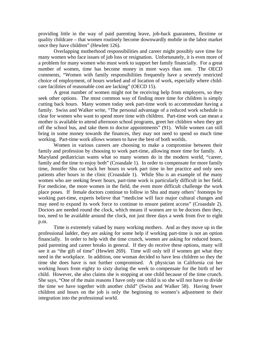providing little in the way of paid parenting leave, job-back guarantees, flextime or quality childcare – that women routinely become downwardly mobile in the labor market once they have children" (Hewlett 126).

 Overlapping motherhood responsibilities and career might possibly save time for many women who face issues of job loss or resignation. Unfortunately, it is even more of a problem for many women who must work to support her family financially. For a great number of women, time has become money in more ways than one. The OECD comments, "Women with family responsibilities frequently have a severely restricted choice of employment, of hours worked and of location of work, especially where childcare facilities of reasonable cost are lacking" (OECD 15).

 A great number of women might not be receiving help from employers, so they seek other options. The most common way of finding more time for children is simply cutting back hours. Many women today seek part-time work to accommodate having a family. Swiss and Walker write, "The personal advantage of a reduced work schedule is clear for women who want to spend more time with children. Part-time work can mean a mother is available to attend afternoon school programs, greet her children when they get off the school bus, and take them to doctor appointments" (91). While women can still bring in some money towards the finances, they may not need to spend so much time working. Part-time work allows women to have the best of both worlds.

 Women in various careers are choosing to make a compromise between their family and profession by choosing to work part-time, allowing more time for family. A Maryland pediatrician wants what so many women do in the modern world, "career, family and the time to enjoy both" (Croasdale 1). In order to compensate for more family time, Jennifer Shu cut back her hours to work part time in her practice and only sees patients after hours in the clinic (Croasdale 1). While Shu is an example of the many women who are seeking fewer hours, part-time work is particularly difficult in her field. For medicine, the more women in the field, the even more difficult challenge the work place poses. If female doctors continue to follow in Shu and many others' footsteps by working part-time, experts believe that "medicine will face major cultural changes and may need to expand its work force to continue to ensure patient access" (Croasdale 2). Doctors are needed round the clock, which means if women are to be doctors then they, too, need to be available around the clock, not just three days a week from five to eight p.m.

 Time is extremely valued by many working mothers. And as they move up in the professional ladder, they are asking for some help if working part-time is not an option financially. In order to help with the time crunch, women are asking for reduced hours, paid parenting and career breaks in general. If they do receive these options, many will see it as "the gift of time" (Hewlett 269). Time will only tell if women get what they need in the workplace. In addition, one woman decided to have less children so they the time she does have is not further compromised. A physician in California cut her working hours from eighty to sixty during the week to compensate for the birth of her child. However, she also claims she is stopping at one child because of the time crunch. She says, "One of the main reasons I have only one child is so she will not have to divide the time we have together with another child" (Swiss and Walker 58). Having fewer children and hours on the job is only the beginning to women's adjustment to their integration into the professional world.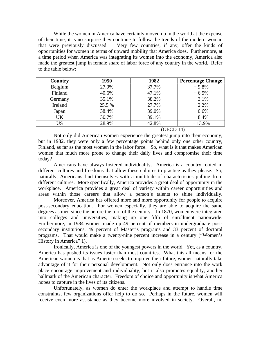While the women in America have certainly moved up in the world at the expense of their time, it is no surprise they continue to follow the trends of the modern woman that were previously discussed. Very few countries, if any, offer the kinds of opportunities for women in terms of upward mobility that America does. Furthermore, at a time period when America was integrating its women into the economy, America also made the greatest jump in female share of labor force of any country in the world. Refer to the table below:

| <b>Country</b> | 1950   | 1982  | <b>Percentage Change</b> |
|----------------|--------|-------|--------------------------|
| Belgium        | 27.9%  | 37.7% | $+9.8%$                  |
| Finland        | 40.6%  | 47.1% | $+6.5%$                  |
| Germany        | 35.1%  | 38.2% | $+3.1%$                  |
| Ireland        | 25.5 % | 27.7% | $+2.2%$                  |
| Japan          | 38.4%  | 39.0% | $+0.6%$                  |
| UK             | 30.7%  | 39.1% | $+8.4%$                  |
| US             | 28.9%  | 42.8% | $+13.9%$                 |

(OECD 14)

 Not only did American women experience the greatest jump into their economy, but in 1982, they were only a few percentage points behind only one other country, Finland, as far as the most women in the labor force. So, what is it that makes American women that much more prone to change their daily lives and compromise their time today?

 Americans have always fostered individuality. America is a country rooted in different cultures and freedoms that allow these cultures to practice as they please. So, naturally, Americans find themselves with a multitude of characteristics pulling from different cultures. More specifically, America provides a great deal of opportunity in the workplace. America provides a great deal of variety within career opportunities and areas within those careers that allow a person's talents to shine individually.

 Moreover, America has offered more and more opportunity for people to acquire post-secondary education. For women especially, they are able to acquire the same degrees as men since the before the turn of the century. In 1870, women were integrated into colleges and universities, making up one fifth of enrollment nationwide. Furthermore, in 1984 women made up 49 percent of members in undergraduate postsecondary institutions, 49 percent of Master's programs and 33 percent of doctoral programs. That would make a twenty-nine percent increase in a century ("Women's History in America" 1).

 Ironically, America is one of the youngest powers in the world. Yet, as a country, America has pushed its issues faster than most countries. What this all means for the American women is that as America seeks to improve their future, women naturally take advantage of it for their personal development. Not only does entrance into the work place encourage improvement and individuality, but it also promotes equality, another hallmark of the American character. Freedom of choice and opportunity is what America hopes to capture in the lives of its citizens.

 Unfortunately, as women do enter the workplace and attempt to handle time constraints, few organizations offer help to do so. Perhaps in the future, women will receive even more assistance as they become more involved in society. Overall, no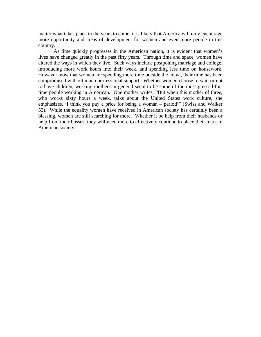matter what takes place in the years to come, it is likely that America will only encourage more opportunity and areas of development for women and even more people in this country.

 As time quickly progresses in the American nation, it is evident that women's lives have changed greatly in the past fifty years. Through time and space, women have altered the ways in which they live. Such ways include postponing marriage and college, introducing more work hours into their week, and spending less time on housework. However, now that women are spending more time outside the home, their time has been compromised without much professional support. Whether women choose to wait or not to have children, working mothers in general seem to be some of the most pressed-fortime people working in American. One mother writes, "But when this mother of three, who works sixty hours a week, talks about the United States work culture, she emphasizes, 'I think you pay a price for being a woman – period'" (Swiss and Walker 53). While the equality women have received in American society has certainly been a blessing, women are still searching for more. Whether it be help from their husbands or help from their bosses, they will need more to effectively continue to place their mark in American society.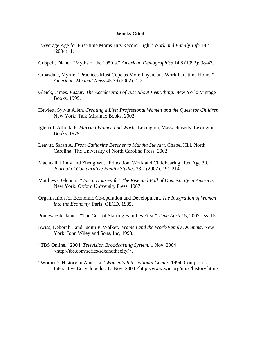#### **Works Cited**

- "Average Age for First-time Moms Hits Record High." *Work and Family Life* 18.4 (2004): 1.
- Crispell, Diane. "Myths of the 1950's." *American Demographics* 14.8 (1992): 38-43.
- Croasdale, Myrtle. "Practices Must Cope as More Physicians Work Part-time Hours." *American Medical News* 45.39 (2002): 1-2.
- Gleick, James. *Faster: The Acceleration of Just About Everything*. New York: Vintage Books, 1999.
- Hewlett, Sylvia Allen. *Creating a Life: Professional Women and the Quest for Children*. New York: Talk Miramax Books, 2002.
- Iglehart, Alfreda P. *Married Women and Work*. Lexington, Massachusetts: Lexington Books, 1979.
- Leavitt, Sarah A. *From Catharine Beecher to Martha Stewart*. Chapel Hill, North Carolina: The University of North Carolina Press, 2002.
- Macneall, Lindy and Zheng Wu. "Education, Work and Childbearing after Age 30." *Journal of Comparative Family Studies* 33.2 (2002): 191-214.
- Matthews, Glenna. *"Just a Housewife" The Rise and Fall of Domesticity in America.* New York: Oxford University Press, 1987.
- Organisation for Economic Co-operation and Development. *The Integration of Women into the Economy*. Paris: OECD, 1985.
- Poniewozik, James. "The Cost of Starting Families First." *Time April* 15, 2002: Iss. 15.
- Swiss, Deborah J and Judith P. Walker. *Women and the Work/Family Dilemma*. New York: John Wiley and Sons, Inc, 1993.
- "TBS Online." 2004. *Television Broadcasting System*. 1 Nov. 2004 <[http://tbs.com/series/sexandthecity/>](http://tbs.com/series/sexandthecity/).
- "Women's History in America." *Women's International Center*. 1994. Compton's Interactive Encyclopedia. 17 Nov. 2004 [<http://www.wic.org/misc/history.htm](http://www.wic.org/misc/history.htm)>.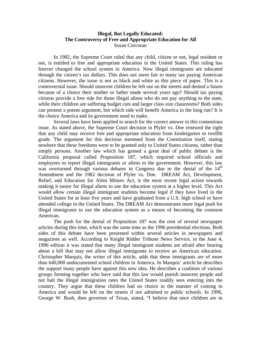## **Illegal, But Legally Educated: The Controversy of Free and Appropriate Education for All**  Susan Corcoran

 In 1982, the Supreme Court ruled that any child, citizen or not, legal resident or not, is entitled to free and appropriate education in the United States. This ruling has forever changed the school system in America. Now illegal immigrants are educated through the citizen's tax dollars. This does not seem fair to many tax paying American citizens. However, the issue is not as black and white as this piece of paper. This is a controversial issue. Should innocent children be left out on the streets and denied a future because of a choice their mother or father made several years ago? Should tax paying citizens provide a free ride for those illegal aliens who do not pay anything to the state, while their children are suffering budget cuts and larger class size classrooms? Both sides can present a potent argument, but which side will benefit America in the long run? It is the choice America and its government need to make.

Several laws have been applied to search for the correct answer in this contentious issue. As stated above, the Supreme Court decision in Plyler vs. Doe renewed the right that any child may receive free and appropriate education from kindergarten to twelfth grade. The argument for this decision stemmed from the Constitution itself, stating nowhere that these freedoms were to be granted only to United States citizens, rather than simply persons. Another law which has gained a great deal of public debate is the California proposal called Proposition 187, which required school officials and employees to report illegal immigrants or aliens to the government. However, this law was overturned through various debates in Congress due to the denial of the 14<sup>th</sup> Amendment and the 1982 decision of Plyler vs. Doe. DREAM Act, Development, Relief, and Education for Alien Minors Act, is the most recent legal action towards making it easier for illegal aliens to use the education system at a higher level. This Act would allow certain illegal immigrant students become legal if they have lived in the United States for at least five years and have graduated from a U.S. high school or have attended college in the United States. The DREAM Act demonstrates more legal push for illegal immigrants to use the education system as a means of becoming the common American.

 The push for the denial of Proposition 187 was the root of several newspaper articles during this time, which was the same time as the 1996 presidential elections. Both sides of this debate have been presented within several articles in newspapers and magazines as well. According to Knight Ridder Tribune News Service, in the June 4, 1996 edition it was stated that many illegal immigrant students are afraid after hearing about a bill that may not allow illegal immigrants to receive an American education. Christopher Marquis, the writer of this article, adds that these immigrants are of more than 640,000 undocumented school children in America. In Marquis' article he describes the support many people have against this new idea. He describes a coalition of various groups forming together who have said that this law would punish innocent people and not halt the illegal immigration rates the United States readily sees entering into the country. They argue that these children had no choice in the manner of coming to America and would be left on the streets if not admitted to public schools. In 1996, George W. Bush, then governor of Texas, stated, "I believe that once children are in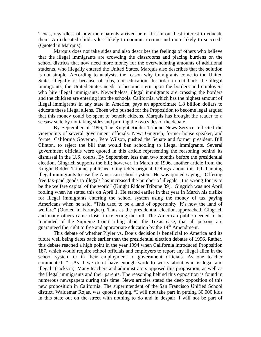Texas, regardless of how their parents arrived here, it is in our best interest to educate them. An educated child is less likely to commit a crime and more likely to succeed" (Quoted in Marquis).

Marquis does not take sides and also describes the feelings of others who believe that the illegal immigrants are crowding the classrooms and placing burdens on the school districts that now need more money for the overwhelming amounts of additional students, who illegally entered the United States. Marquis also describes that the solution is not simple. According to analysts, the reason why immigrants come to the United States illegally is because of jobs, not education. In order to cut back the illegal immigrants, the United States needs to become stern upon the borders and employers who hire illegal immigrants. Nevertheless, illegal immigrants are crossing the borders and the children are entering into the schools. California, which has the highest amount of illegal immigrants in any state in America, pays an approximate 1.8 billion dollars to educate these illegal aliens. Those who pushed for the Proposition to become legal argued that this money could be spent to benefit citizens. Marquis has brought the reader to a seesaw state by not taking sides and printing the two sides of the debate.

By September of 1996, The Knight Ridder Tribune News Service reflected the viewpoints of several government officials. Newt Gingrich, former house speaker, and former California Governor, Pete Wilson, pushed the Senate and former president, Bill Clinton, to reject the bill that would ban schooling to illegal immigrants. Several government officials were quoted in this article representing the reasoning behind its dismissal in the U.S. courts. By September, less than two months before the presidential election, Gingrich supports the bill; however, in March of 1996, another article from the Knight Ridder Tribune published Gingrich's original feelings about this bill banning illegal immigrants to use the American school system. He was quoted saying, "Offering free tax-paid goods to illegals has increased the number of illegals. It is wrong for us to be the welfare capital of the world" (Knight Ridder Tribune 39). Gingrich was not April fooling when he stated this on April 1. He stated earlier in that year in March his dislike for illegal immigrants entering the school system using the money of tax paying Americans when he said, "This used to be a land of opportunity. It's now the land of welfare" (Quoted in Farragher). Thus as the presidential election approached, Gingrich and many others came closer to rejecting the bill. The American public needed to be reminded of the Supreme Court ruling about the Texas case, that all persons are guaranteed the right to free and appropriate education by the 14<sup>th</sup> Amendment.

This debate of whether Plyler vs. Doe's decision is beneficial to America and its future well being dates back earlier than the presidential election debates of 1996. Rather, this debate reached a high point in the year 1994 when California introduced Proposition 187, which would require school officials and employers to report any illegal alien in the school system or in their employment to government officials. As one teacher commented, "…As if we don't have enough work to worry about who is legal and illegal" (Jackson). Many teachers and administrators opposed this proposition, as well as the illegal immigrants and their parents. The reasoning behind this opposition is found in numerous newspapers during this time. News articles stated the deep opposition of this new proposition in California. The superintendent of the San Francisco Unified School district, Waldemar Rojas, was quoted saying, "I will not take part in putting 30,000 kids in this state out on the street with nothing to do and in despair. I will not be part of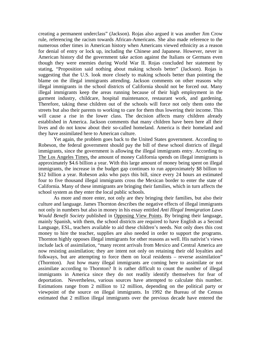creating a permanent underclass" (Jackson). Rojas also argued it was another Jim Crow rule, referencing the racism towards African-Americans. She also made reference to the numerous other times in American history when Americans viewed ethnicity as a reason for denial of entry or lock up, including the Chinese and Japanese. However, never in American history did the government take action against the Italians or Germans even though they were enemies during World War II. Rojas concluded her statement by stating, "Proposition said nothing about making schools better" (Jackson). Rojas is suggesting that the U.S. look more closely to making schools better than pointing the blame on the illegal immigrants attending. Jackson comments on other reasons why illegal immigrants in the school districts of California should not be forced out. Many illegal immigrants keep the areas running because of their high employment in the garment industry, childcare, hospital maintenance, restaurant work, and gardening. Therefore, taking these children out of the schools will force not only them onto the streets but also their parents to working to care for them thus lowering their income. This will cause a rise in the lower class. The decision affects many children already established in America. Jackson comments that many children have been here all their lives and do not know about their so-called homeland. America is their homeland and they have assimilated here to American culture.

Yet again, the problem goes back to the United States government. According to Robeson, the federal government should pay the bill of these school districts of illegal immigrants, since the government is allowing the illegal immigrants entry. According to The Los Angeles Times, the amount of money California spends on illegal immigrants is approximately \$4.6 billion a year. With this large amount of money being spent on illegal immigrants, the increase in the budget gap continues to run approximately \$8 billion to \$12 billion a year. Robeson asks who pays this bill, since every 24 hours an estimated four to five thousand illegal immigrants cross the Mexican border to enter the state of California. Many of these immigrants are bringing their families, which in turn affects the school system as they enter the local public schools.

As more and more enter, not only are they bringing their families, but also their culture and language. James Thornton describes the negative effects of illegal immigrants not only in numbers but also in money in his essay entitled *Anti Illegal Immigration Laws Would Benefit Society* published in Opposing View Points. By bringing their language, mainly Spanish, with them, the school districts are required to have English as a Second Language, ESL, teachers available to aid these children's needs. Not only does this cost money to hire the teacher, supplies are also needed in order to support the programs. Thornton highly opposes illegal immigrants for other reasons as well. His nativist's views include lack of assimilation, "many recent arrivals from Mexico and Central America are now resisting assimilation; they are intent not only on retaining their old loyalties and folkways, but are attempting to force them on local residents – reverse assimilation" (Thornton). Just how many illegal immigrants are coming here to assimilate or not assimilate according to Thornton? It is rather difficult to count the number of illegal immigrants in America since they do not readily identify themselves for fear of deportation. Nevertheless, various sources have attempted to calculate this number. Estimations range from 2 million to 12 million, depending on the political party or viewpoint of the source on illegal immigrants. In 1992 the Bureau of the Census estimated that 2 million illegal immigrants over the previous decade have entered the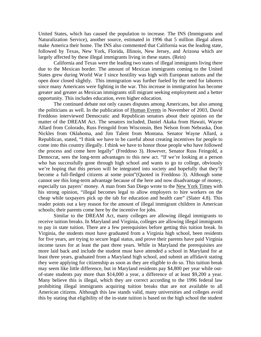United States, which has caused the population to increase. The INS (Immigrants and Naturalization Service), another source, estimated in 1996 that 5 million illegal aliens make America their home. The INS also commented that California was the leading state, followed by Texas, New York, Florida, Illinois, New Jersey, and Arizona which are largely affected by these illegal immigrants living in these states. (Rein)

California and Texas were the leading two states of illegal immigrants living there due to the Mexican border. The amount of Mexican immigrants coming to the United States grew during World War I since hostility was high with European nations and the open door closed slightly. This immigration was further fueled by the need for laborers since many Americans were fighting in the war. This increase in immigration has become greater and greater as Mexican immigrants still migrant seeking employment and a better opportunity. This includes education, even higher education.

The continued debate not only causes disputes among Americans, but also among the politicians as well. In the publication of Human Events in November of 2003, David Freddoso interviewed Democratic and Republican senators about their opinion on the matter of the DREAM Act. The senators included, Daniel Akaka from Hawaii, Wayne Allard from Colorado, Russ Feingold from Wisconsin, Ben Nelson from Nebraska, Don Nickles from Oklahoma, and Jim Talent from Montana. Senator Wayne Allard, a Republican, stated, "I think we have to be careful about creating incentives for people to come into this country illegally. I think we have to honor those people who have followed the process and come here legally" (Freddoso 3). However, Senator Russ Feingold, a Democrat, sees the long-term advantages to this new act. "If we're looking at a person who has successfully gone through high school and wants to go to college, obviously we're hoping that this person will be integrated into society and hopefully that they'll become a full-fledged citizens at some point"(Quoted in Freddoso 3). Although some cannot see this long-term advantage because of the here and now disadvantage of money, especially tax payers' money. A man from San Diego wrote to the New York Times with his strong opinion, "illegal becomes legal to allow employers to hire workers on the cheap while taxpayers pick up the tab for education and health care" (Slater 4.8). This reader points out a key reason for the amount of illegal immigrant children in American schools; their parents come here by the incentive for jobs.

Similar to the DREAM Act, many colleges are allowing illegal immigrants to receive tuition breaks. In Maryland and Virginia, colleges are allowing illegal immigrants to pay in state tuition. There are a few prerequisites before getting this tuition break. In Virginia, the students must have graduated from a Virginia high school, been residents for five years, are trying to secure legal status, and prove their parents have paid Virginia income taxes for at least the past three years. While in Maryland the prerequisites are more laid back and include the student must have attended a school in Maryland for at least three years, graduated from a Maryland high school, and submit an affidavit stating they were applying for citizenship as soon as they are eligible to do so. This tuition break may seem like little difference, but in Maryland residents pay \$4,800 per year while outof-state students pay more than \$14,000 a year, a difference of at least \$9,200 a year. Many believe this is illegal, which they are correct according to the 1996 federal law prohibiting illegal immigrants acquiring tuition breaks that are not available to all American citizens. Although this law stands valid, many universities and colleges avoid this by stating that eligibility of the in-state tuition is based on the high school the student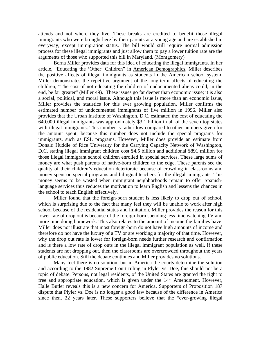attends and not where they live. These breaks are credited to benefit those illegal immigrants who were brought here by their parents at a young age and are established in everyway, except immigration status. The bill would still require normal admission process for these illegal immigrants and just allow them to pay a lower tuition rate are the arguments of those who supported this bill in Maryland. (Montgomery)

Berna Miller provides data for this idea of educating the illegal immigrants. In her article, "Educating the 'Other' Children" in American Demographics, Miller describes the positive affects of illegal immigrants as students in the American school system. Miller demonstrates the repetitive argument of the long-term affects of educating the children, "The cost of not educating the children of undocumented aliens could, in the end, be far greater" (Miller 49). These issues go far deeper than economic issue; it is also a social, political, and moral issue. Although this issue is more than an economic issue, Miller provides the statistics for this ever growing population. Miller confirms the estimated number of undocumented immigrants of five million in 1996. Miller also provides that the Urban Institute of Washington, D.C. estimated the cost of educating the 640,000 illegal immigrants was approximately \$3.1 billion in all of the seven top states with illegal immigrants. This number is rather low compared to other numbers given for the amount spent, because this number does not include the special programs for immigrants, such as ESL programs. However, Miller does provide an estimate from Donald Huddle of Rice University for the Carrying Capacity Network of Washington, D.C. stating illegal immigrant children cost \$4.5 billion and additional \$891 million for those illegal immigrant school children enrolled in special services. These large sums of money are what push parents of native-born children to the edge. These parents see the quality of their children's education deteriorate because of crowding in classrooms and money spent on special programs and bilingual teachers for the illegal immigrants. This money seems to be wasted when immigrant neighborhoods remain to offer Spanishlanguage services thus reduces the motivation to learn English and lessens the chances in the school to teach English effectively.

Miller found that the foreign-born student is less likely to drop out of school, which is surprising due to the fact that many feel they will be unable to work after high school because of the residential status and limitation. Miller provides the reason for this lower rate of drop out is because of the foreign-born spending less time watching TV and more time doing homework. This also relates to the amount of income the families have. Miller does not illustrate that most foreign-born do not have high amounts of income and therefore do not have the luxury of a TV or are working a majority of that time. However, why the drop out rate is lower for foreign-born needs further research and confirmation and is there a low rate of drop outs in the illegal immigrant population as well. If these students are not dropping out, then the classrooms are overcrowded throughout the years of public education. Still the debate continues and Miller provides no solutions.

Many feel there is no solution, but in America the courts determine the solution and according to the 1982 Supreme Court ruling in Plyler vs. Doe, this should not be a topic of debate. Persons, not legal residents, of the United States are granted the right to free and appropriate education, which is given under the 14<sup>th</sup> Amendment. However, Halle Butler reveals this is a new concern for America. Supporters of Proposition 187 dispute that Plyler vs. Doe is no longer a good law because of the difference in America since then, 22 years later. These supporters believe that the "ever-growing illegal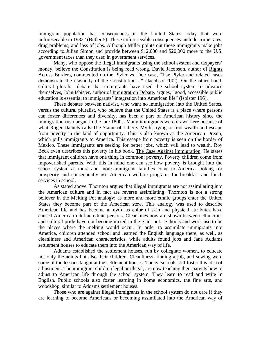immigrant population has consequences in the United States today that were unforeseeable in 1982" (Butler 5). These unforeseeable consequences include crime rates, drug problems, and loss of jobs. Although Miller points out those immigrants make jobs according to Julian Simon and provide between \$12,000 and \$20,000 more to the U.S. government taxes than they used in government services.

Many, who oppose the illegal immigrants using the school system and taxpayers' money, believe the Constitution is being read wrong. David Jacobson, author of Rights Across Borders, commented on the Plyler vs. Doe case, "The Plyler and related cases demonstrate the elasticity of the Constitution..." (Jacobson 102). On the other hand, cultural pluralist debate that immigrants have used the school system to advance themselves, John Isbister, author of Immigration Debate, argues, "good, accessible public education is essential to immigrants' integration into American life" (Isbister 196).

These debates between nativist, who want no immigration into the United States, versus the cultural pluralist, who believe that the United States is a place where persons can foster differences and diversity, has been a part of American history since the immigration rush began in the late 1800s. Many immigrants were drawn here because of what Roger Daniels calls The Statue of Liberty Myth, trying to find wealth and escape from poverty in the land of opportunity. This is also known as the American Dream, which pulls immigrants to America. This escape from poverty is seen on the border of Mexico. These immigrants are seeking for better jobs, which will lead to wealth. Roy Beck even describes this poverty in his book, The Case Against Immigration. He states that immigrant children have one thing in common: poverty. Poverty children come from impoverished parents. With this in mind one can see how poverty is brought into the school system as more and more immigrant families come to America looking for prosperity and consequently use American welfare programs for breakfast and lunch services in school.

As stated above, Thornton argues that illegal immigrants are not assimilating into the American culture and in fact are reverse assimilating. Thornton is not a strong believer in the Melting Pot analogy; as more and more ethnic groups enter the United States they become part of the American stew. This analogy was used to describe American life and has become a myth, as color of skin and physical attributes have caused America to define ethnic persons. Clear lines now are shown between ethnicities and cultural pride have not become mixed in the giant pot. Schools and work use to be the places where the melting would occur. In order to assimilate immigrants into America, children attended school and learned the English language there, as well, as cleanliness and American characteristics, while adults found jobs and Jane Addams settlement houses to educate them into the American way of life.

Addams established the settlement houses, run by collegiate women, to educate not only the adults but also their children. Cleanliness, finding a job, and sewing were some of the lessons taught at the settlement houses. Today, schools still foster this idea of adjustment. The immigrant children legal or illegal, are now teaching their parents how to adjust to American life through the school system. They learn to read and write in English. Public schools also foster learning in home economics, the fine arts, and woodshop, similar to Addams settlement houses.

Those who are against illegal immigrants in the school system do not care if they are learning to become Americans or becoming assimilated into the American way of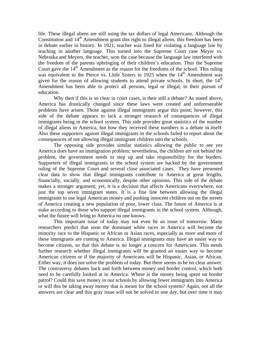life. These illegal aliens are still using the tax dollars of legal Americans. Although the Constitution and  $14<sup>th</sup>$  Amendment grant this right to illegal aliens, this freedom has been in debate earlier in history. In 1921, teacher was fined for violating a language law by teaching in another language. This turned into the Supreme Court case Meyer vs. Nebraska and Meyers, the teacher, won the case because the language law interfered with the freedom of the parents upbringing of their children's education. Thus the Supreme Court gave the  $14<sup>th</sup>$  Amendment as the reason for the freedoms of the school. This ruling was equivalent to the Pierce vs. Little Sisters in 1925 when the  $14<sup>th</sup>$  Amendment was given for the reason of allowing students to attend private schools. In short, the  $14<sup>th</sup>$ Amendment has been able to protect all persons, legal or illegal, in their pursuit of education.

Why then if this is so clear in court cases, is their still a debate? As stated above, America has drastically changed since these laws were created and unforeseeable problems have arisen. Those against illegal immigrants argue this point; however, this side of the debate appears to lack a stronger research of consequences of illegal immigrants being in the school system. This side provides great statistics of the number of illegal aliens in America, but how they received these numbers is a debate in itself. Also these supporters against illegal immigrants in the schools failed to report about the consequences of not allowing illegal immigrant children into the schools.

The opposing side provides similar statistics allowing the public to see yes America does have an immigration problem; nevertheless, the children are not behind the problem, the government needs to step up and take responsibility for the borders. Supporters of illegal immigrants in the school system are backed by the government ruling of the Supreme Court and several close associated cases. They have presented clear data to show that illegal immigrants contribute to America at great lengths, financially, socially, and economically, despite other opinions. This side of the debate makes a stronger argument; yet, it is a decision that affects Americans everywhere, not just the top seven immigrant states. It is a fine line between allowing the illegal immigrants to use legal American money and pushing innocent children out on the streets of America creating a new population of poor, lower class. The future of America is at stake according to those who support illegal immigrants in the school system. Although, what the future will bring to America no one knows.

This important issue of today may not even be an issue of tomorrow. Many researchers predict that soon the dominant white races in America will become the minority race to the Hispanic or African or Asian races, especially as more and more of these immigrants are coming to America. Illegal immigrants may have an easier way to become citizens, so that this debate is no longer a concern for Americans. This needs further research whether illegal immigrants will be granted an easier way to become American citizens or if the majority of Americans will be Hispanic, Asian, or African. Either way, it does not solve the problem of today. But there seems to be no clear answer. The controversy debates back and forth between money and border control, which both need to be carefully looked at in America. Where is the money being spent on border patrol? Could this save money in our schools by allowing fewer immigrants into America or will this be taking away money that is meant for the school system? Again, not all the answers are clear and this gray issue will not be solved in one day, but over time it may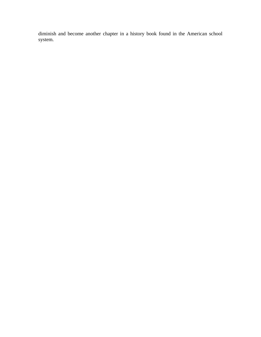diminish and become another chapter in a history book found in the American school system.